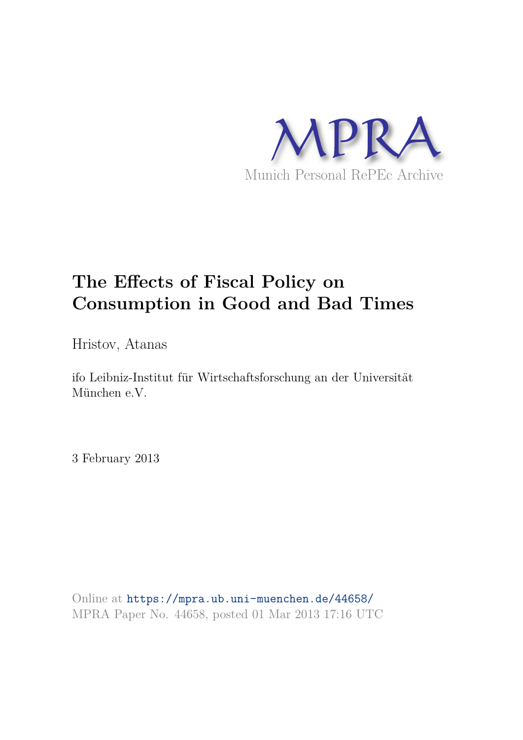

# **The Effects of Fiscal Policy on Consumption in Good and Bad Times**

Hristov, Atanas

ifo Leibniz-Institut für Wirtschaftsforschung an der Universität München e.V.

3 February 2013

Online at https://mpra.ub.uni-muenchen.de/44658/ MPRA Paper No. 44658, posted 01 Mar 2013 17:16 UTC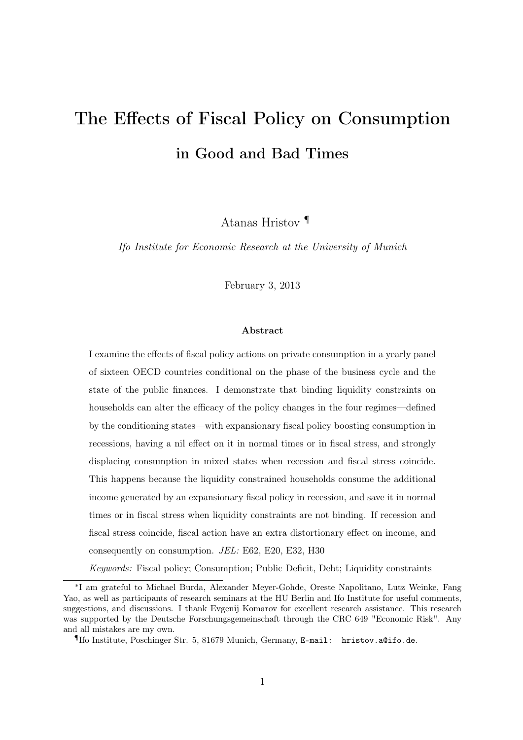# The Effects of Fiscal Policy on Consumption in Good and Bad Times

Atanas Hristov ¶

Ifo Institute for Economic Research at the University of Munich

February 3, 2013

#### Abstract

I examine the effects of fiscal policy actions on private consumption in a yearly panel of sixteen OECD countries conditional on the phase of the business cycle and the state of the public finances. I demonstrate that binding liquidity constraints on households can alter the efficacy of the policy changes in the four regimes—defined by the conditioning states—with expansionary fiscal policy boosting consumption in recessions, having a nil effect on it in normal times or in fiscal stress, and strongly displacing consumption in mixed states when recession and fiscal stress coincide. This happens because the liquidity constrained households consume the additional income generated by an expansionary fiscal policy in recession, and save it in normal times or in fiscal stress when liquidity constraints are not binding. If recession and fiscal stress coincide, fiscal action have an extra distortionary effect on income, and consequently on consumption. JEL: E62, E20, E32, H30

Keywords: Fiscal policy; Consumption; Public Deficit, Debt; Liquidity constraints

<sup>∗</sup> I am grateful to Michael Burda, Alexander Meyer-Gohde, Oreste Napolitano, Lutz Weinke, Fang Yao, as well as participants of research seminars at the HU Berlin and Ifo Institute for useful comments, suggestions, and discussions. I thank Evgenij Komarov for excellent research assistance. This research was supported by the Deutsche Forschungsgemeinschaft through the CRC 649 "Economic Risk". Any and all mistakes are my own.

<sup>¶</sup>Ifo Institute, Poschinger Str. 5, 81679 Munich, Germany, E-mail: hristov.a@ifo.de.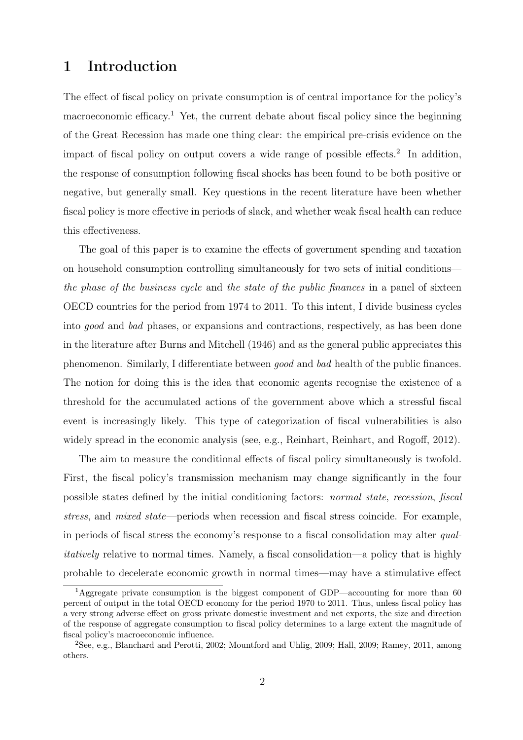# 1 Introduction

The effect of fiscal policy on private consumption is of central importance for the policy's macroeconomic efficacy.<sup>1</sup> Yet, the current debate about fiscal policy since the beginning of the Great Recession has made one thing clear: the empirical pre-crisis evidence on the impact of fiscal policy on output covers a wide range of possible effects.<sup>2</sup> In addition, the response of consumption following fiscal shocks has been found to be both positive or negative, but generally small. Key questions in the recent literature have been whether fiscal policy is more effective in periods of slack, and whether weak fiscal health can reduce this effectiveness.

The goal of this paper is to examine the effects of government spending and taxation on household consumption controlling simultaneously for two sets of initial conditions the phase of the business cycle and the state of the public finances in a panel of sixteen OECD countries for the period from 1974 to 2011. To this intent, I divide business cycles into good and bad phases, or expansions and contractions, respectively, as has been done in the literature after Burns and Mitchell (1946) and as the general public appreciates this phenomenon. Similarly, I differentiate between good and bad health of the public finances. The notion for doing this is the idea that economic agents recognise the existence of a threshold for the accumulated actions of the government above which a stressful fiscal event is increasingly likely. This type of categorization of fiscal vulnerabilities is also widely spread in the economic analysis (see, e.g., Reinhart, Reinhart, and Rogoff, 2012).

The aim to measure the conditional effects of fiscal policy simultaneously is twofold. First, the fiscal policy's transmission mechanism may change significantly in the four possible states defined by the initial conditioning factors: normal state, recession, fiscal stress, and mixed state—periods when recession and fiscal stress coincide. For example, in periods of fiscal stress the economy's response to a fiscal consolidation may alter qualitatively relative to normal times. Namely, a fiscal consolidation—a policy that is highly probable to decelerate economic growth in normal times—may have a stimulative effect

<sup>1</sup>Aggregate private consumption is the biggest component of GDP—accounting for more than 60 percent of output in the total OECD economy for the period 1970 to 2011. Thus, unless fiscal policy has a very strong adverse effect on gross private domestic investment and net exports, the size and direction of the response of aggregate consumption to fiscal policy determines to a large extent the magnitude of fiscal policy's macroeconomic influence.

<sup>2</sup>See, e.g., Blanchard and Perotti, 2002; Mountford and Uhlig, 2009; Hall, 2009; Ramey, 2011, among others.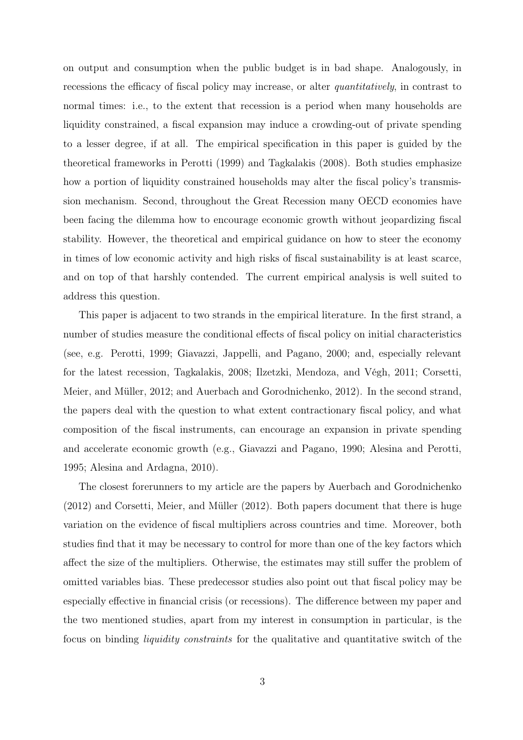on output and consumption when the public budget is in bad shape. Analogously, in recessions the efficacy of fiscal policy may increase, or alter *quantitatively*, in contrast to normal times: i.e., to the extent that recession is a period when many households are liquidity constrained, a fiscal expansion may induce a crowding-out of private spending to a lesser degree, if at all. The empirical specification in this paper is guided by the theoretical frameworks in Perotti (1999) and Tagkalakis (2008). Both studies emphasize how a portion of liquidity constrained households may alter the fiscal policy's transmission mechanism. Second, throughout the Great Recession many OECD economies have been facing the dilemma how to encourage economic growth without jeopardizing fiscal stability. However, the theoretical and empirical guidance on how to steer the economy in times of low economic activity and high risks of fiscal sustainability is at least scarce, and on top of that harshly contended. The current empirical analysis is well suited to address this question.

This paper is adjacent to two strands in the empirical literature. In the first strand, a number of studies measure the conditional effects of fiscal policy on initial characteristics (see, e.g. Perotti, 1999; Giavazzi, Jappelli, and Pagano, 2000; and, especially relevant for the latest recession, Tagkalakis, 2008; Ilzetzki, Mendoza, and Végh, 2011; Corsetti, Meier, and Müller, 2012; and Auerbach and Gorodnichenko, 2012). In the second strand, the papers deal with the question to what extent contractionary fiscal policy, and what composition of the fiscal instruments, can encourage an expansion in private spending and accelerate economic growth (e.g., Giavazzi and Pagano, 1990; Alesina and Perotti, 1995; Alesina and Ardagna, 2010).

The closest forerunners to my article are the papers by Auerbach and Gorodnichenko (2012) and Corsetti, Meier, and Müller (2012). Both papers document that there is huge variation on the evidence of fiscal multipliers across countries and time. Moreover, both studies find that it may be necessary to control for more than one of the key factors which affect the size of the multipliers. Otherwise, the estimates may still suffer the problem of omitted variables bias. These predecessor studies also point out that fiscal policy may be especially effective in financial crisis (or recessions). The difference between my paper and the two mentioned studies, apart from my interest in consumption in particular, is the focus on binding liquidity constraints for the qualitative and quantitative switch of the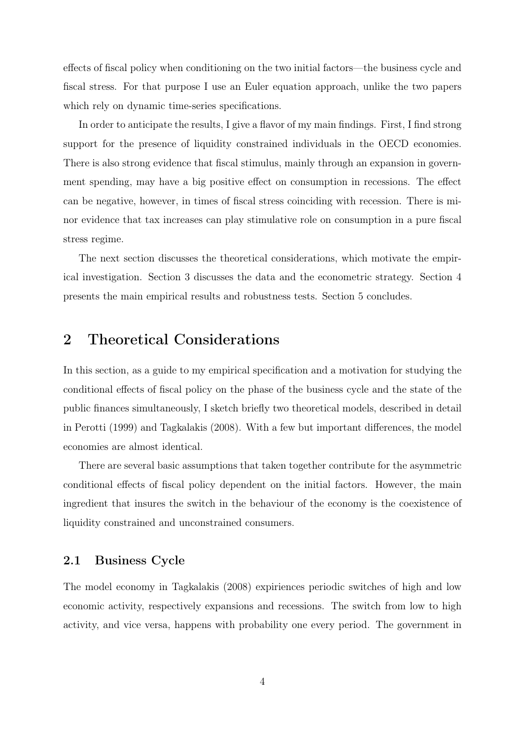effects of fiscal policy when conditioning on the two initial factors—the business cycle and fiscal stress. For that purpose I use an Euler equation approach, unlike the two papers which rely on dynamic time-series specifications.

In order to anticipate the results, I give a flavor of my main findings. First, I find strong support for the presence of liquidity constrained individuals in the OECD economies. There is also strong evidence that fiscal stimulus, mainly through an expansion in government spending, may have a big positive effect on consumption in recessions. The effect can be negative, however, in times of fiscal stress coinciding with recession. There is minor evidence that tax increases can play stimulative role on consumption in a pure fiscal stress regime.

The next section discusses the theoretical considerations, which motivate the empirical investigation. Section 3 discusses the data and the econometric strategy. Section 4 presents the main empirical results and robustness tests. Section 5 concludes.

## 2 Theoretical Considerations

In this section, as a guide to my empirical specification and a motivation for studying the conditional effects of fiscal policy on the phase of the business cycle and the state of the public finances simultaneously, I sketch briefly two theoretical models, described in detail in Perotti (1999) and Tagkalakis (2008). With a few but important differences, the model economies are almost identical.

There are several basic assumptions that taken together contribute for the asymmetric conditional effects of fiscal policy dependent on the initial factors. However, the main ingredient that insures the switch in the behaviour of the economy is the coexistence of liquidity constrained and unconstrained consumers.

### 2.1 Business Cycle

The model economy in Tagkalakis (2008) expiriences periodic switches of high and low economic activity, respectively expansions and recessions. The switch from low to high activity, and vice versa, happens with probability one every period. The government in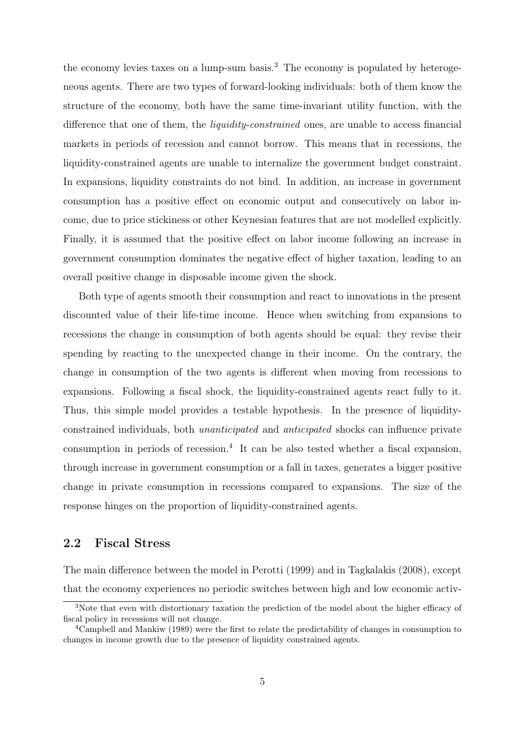the economy levies taxes on a lump-sum basis.<sup>3</sup> The economy is populated by heterogeneous agents. There are two types of forward-looking individuals: both of them know the structure of the economy, both have the same time-invariant utility function, with the difference that one of them, the liquidity-constrained ones, are unable to access financial markets in periods of recession and cannot borrow. This means that in recessions, the liquidity-constrained agents are unable to internalize the government budget constraint. In expansions, liquidity constraints do not bind. In addition, an increase in government consumption has a positive effect on economic output and consecutively on labor income, due to price stickiness or other Keynesian features that are not modelled explicitly. Finally, it is assumed that the positive effect on labor income following an increase in government consumption dominates the negative effect of higher taxation, leading to an overall positive change in disposable income given the shock.

Both type of agents smooth their consumption and react to innovations in the present discounted value of their life-time income. Hence when switching from expansions to recessions the change in consumption of both agents should be equal: they revise their spending by reacting to the unexpected change in their income. On the contrary, the change in consumption of the two agents is different when moving from recessions to expansions. Following a fiscal shock, the liquidity-constrained agents react fully to it. Thus, this simple model provides a testable hypothesis. In the presence of liquidityconstrained individuals, both unanticipated and anticipated shocks can influence private consumption in periods of recession.<sup>4</sup> It can be also tested whether a fiscal expansion, through increase in government consumption or a fall in taxes, generates a bigger positive change in private consumption in recessions compared to expansions. The size of the response hinges on the proportion of liquidity-constrained agents.

## 2.2 Fiscal Stress

The main difference between the model in Perotti (1999) and in Tagkalakis (2008), except that the economy experiences no periodic switches between high and low economic activ-

<sup>&</sup>lt;sup>3</sup>Note that even with distortionary taxation the prediction of the model about the higher efficacy of fiscal policy in recessions will not change.

<sup>&</sup>lt;sup>4</sup>Campbell and Mankiw (1989) were the first to relate the predictability of changes in consumption to changes in income growth due to the presence of liquidity constrained agents.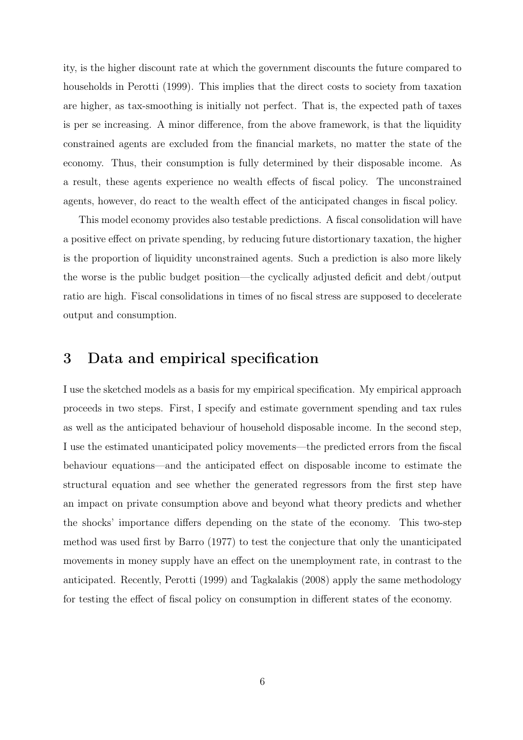ity, is the higher discount rate at which the government discounts the future compared to households in Perotti (1999). This implies that the direct costs to society from taxation are higher, as tax-smoothing is initially not perfect. That is, the expected path of taxes is per se increasing. A minor difference, from the above framework, is that the liquidity constrained agents are excluded from the financial markets, no matter the state of the economy. Thus, their consumption is fully determined by their disposable income. As a result, these agents experience no wealth effects of fiscal policy. The unconstrained agents, however, do react to the wealth effect of the anticipated changes in fiscal policy.

This model economy provides also testable predictions. A fiscal consolidation will have a positive effect on private spending, by reducing future distortionary taxation, the higher is the proportion of liquidity unconstrained agents. Such a prediction is also more likely the worse is the public budget position—the cyclically adjusted deficit and debt/output ratio are high. Fiscal consolidations in times of no fiscal stress are supposed to decelerate output and consumption.

# 3 Data and empirical specification

I use the sketched models as a basis for my empirical specification. My empirical approach proceeds in two steps. First, I specify and estimate government spending and tax rules as well as the anticipated behaviour of household disposable income. In the second step, I use the estimated unanticipated policy movements—the predicted errors from the fiscal behaviour equations—and the anticipated effect on disposable income to estimate the structural equation and see whether the generated regressors from the first step have an impact on private consumption above and beyond what theory predicts and whether the shocks' importance differs depending on the state of the economy. This two-step method was used first by Barro (1977) to test the conjecture that only the unanticipated movements in money supply have an effect on the unemployment rate, in contrast to the anticipated. Recently, Perotti (1999) and Tagkalakis (2008) apply the same methodology for testing the effect of fiscal policy on consumption in different states of the economy.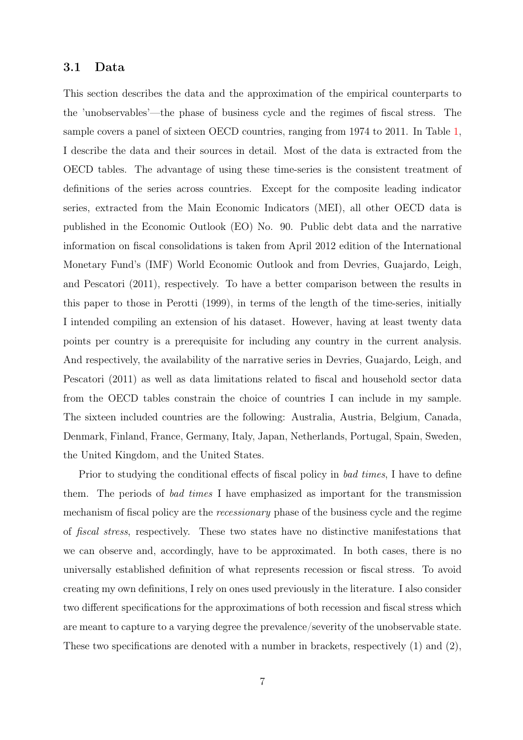## 3.1 Data

This section describes the data and the approximation of the empirical counterparts to the 'unobservables'—the phase of business cycle and the regimes of fiscal stress. The sample covers a panel of sixteen OECD countries, ranging from 1974 to 2011. In Table 1, I describe the data and their sources in detail. Most of the data is extracted from the OECD tables. The advantage of using these time-series is the consistent treatment of definitions of the series across countries. Except for the composite leading indicator series, extracted from the Main Economic Indicators (MEI), all other OECD data is published in the Economic Outlook (EO) No. 90. Public debt data and the narrative information on fiscal consolidations is taken from April 2012 edition of the International Monetary Fund's (IMF) World Economic Outlook and from Devries, Guajardo, Leigh, and Pescatori (2011), respectively. To have a better comparison between the results in this paper to those in Perotti (1999), in terms of the length of the time-series, initially I intended compiling an extension of his dataset. However, having at least twenty data points per country is a prerequisite for including any country in the current analysis. And respectively, the availability of the narrative series in Devries, Guajardo, Leigh, and Pescatori (2011) as well as data limitations related to fiscal and household sector data from the OECD tables constrain the choice of countries I can include in my sample. The sixteen included countries are the following: Australia, Austria, Belgium, Canada, Denmark, Finland, France, Germany, Italy, Japan, Netherlands, Portugal, Spain, Sweden, the United Kingdom, and the United States.

Prior to studying the conditional effects of fiscal policy in *bad times*, I have to define them. The periods of bad times I have emphasized as important for the transmission mechanism of fiscal policy are the recessionary phase of the business cycle and the regime of fiscal stress, respectively. These two states have no distinctive manifestations that we can observe and, accordingly, have to be approximated. In both cases, there is no universally established definition of what represents recession or fiscal stress. To avoid creating my own definitions, I rely on ones used previously in the literature. I also consider two different specifications for the approximations of both recession and fiscal stress which are meant to capture to a varying degree the prevalence/severity of the unobservable state. These two specifications are denoted with a number in brackets, respectively (1) and (2),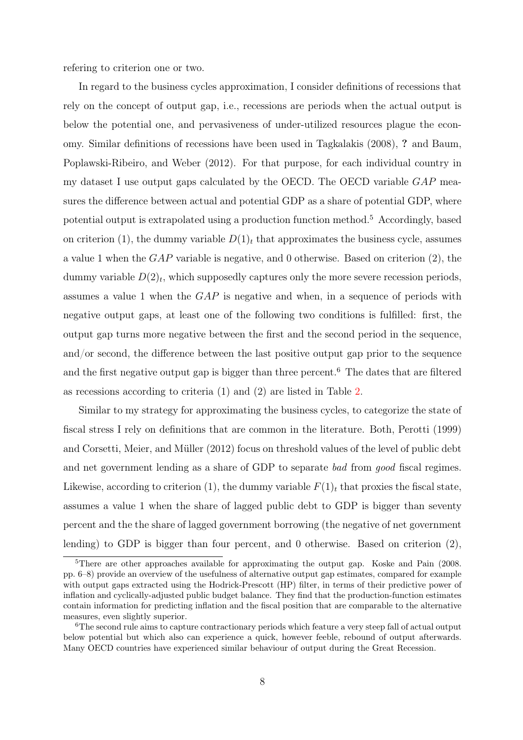refering to criterion one or two.

In regard to the business cycles approximation, I consider definitions of recessions that rely on the concept of output gap, i.e., recessions are periods when the actual output is below the potential one, and pervasiveness of under-utilized resources plague the economy. Similar definitions of recessions have been used in Tagkalakis (2008), ? and Baum, Poplawski-Ribeiro, and Weber (2012). For that purpose, for each individual country in my dataset I use output gaps calculated by the OECD. The OECD variable  $GAP$  measures the difference between actual and potential GDP as a share of potential GDP, where potential output is extrapolated using a production function method.<sup>5</sup> Accordingly, based on criterion (1), the dummy variable  $D(1)_t$  that approximates the business cycle, assumes a value 1 when the  $GAP$  variable is negative, and 0 otherwise. Based on criterion (2), the dummy variable  $D(2)_t$ , which supposedly captures only the more severe recession periods, assumes a value 1 when the GAP is negative and when, in a sequence of periods with negative output gaps, at least one of the following two conditions is fulfilled: first, the output gap turns more negative between the first and the second period in the sequence, and/or second, the difference between the last positive output gap prior to the sequence and the first negative output gap is bigger than three percent.<sup>6</sup> The dates that are filtered as recessions according to criteria (1) and (2) are listed in Table 2.

Similar to my strategy for approximating the business cycles, to categorize the state of fiscal stress I rely on definitions that are common in the literature. Both, Perotti (1999) and Corsetti, Meier, and Müller (2012) focus on threshold values of the level of public debt and net government lending as a share of GDP to separate bad from good fiscal regimes. Likewise, according to criterion (1), the dummy variable  $F(1)_t$  that proxies the fiscal state, assumes a value 1 when the share of lagged public debt to GDP is bigger than seventy percent and the the share of lagged government borrowing (the negative of net government lending) to GDP is bigger than four percent, and 0 otherwise. Based on criterion (2),

<sup>&</sup>lt;sup>5</sup>There are other approaches available for approximating the output gap. Koske and Pain (2008. pp. 6–8) provide an overview of the usefulness of alternative output gap estimates, compared for example with output gaps extracted using the Hodrick-Prescott (HP) filter, in terms of their predictive power of inflation and cyclically-adjusted public budget balance. They find that the production-function estimates contain information for predicting inflation and the fiscal position that are comparable to the alternative measures, even slightly superior.

<sup>&</sup>lt;sup>6</sup>The second rule aims to capture contractionary periods which feature a very steep fall of actual output below potential but which also can experience a quick, however feeble, rebound of output afterwards. Many OECD countries have experienced similar behaviour of output during the Great Recession.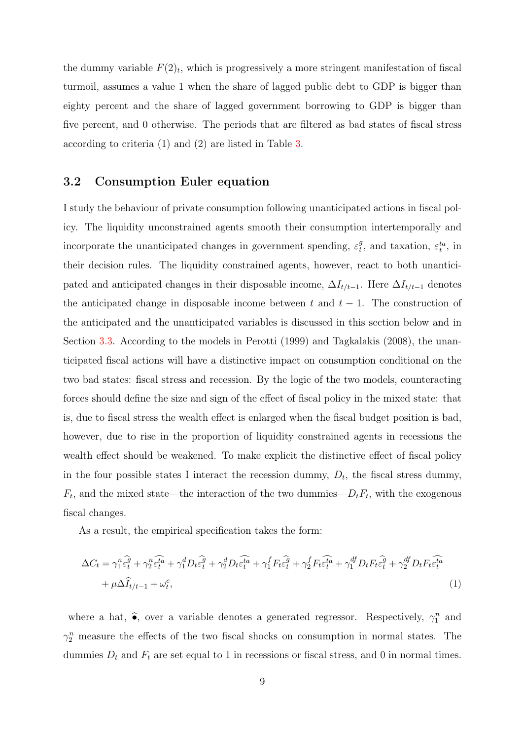the dummy variable  $F(2)_t$ , which is progressively a more stringent manifestation of fiscal turmoil, assumes a value 1 when the share of lagged public debt to GDP is bigger than eighty percent and the share of lagged government borrowing to GDP is bigger than five percent, and 0 otherwise. The periods that are filtered as bad states of fiscal stress according to criteria (1) and (2) are listed in Table 3.

## 3.2 Consumption Euler equation

I study the behaviour of private consumption following unanticipated actions in fiscal policy. The liquidity unconstrained agents smooth their consumption intertemporally and incorporate the unanticipated changes in government spending,  $\varepsilon_t^g$  $t^g$ , and taxation,  $\varepsilon_t^{ta}$ , in their decision rules. The liquidity constrained agents, however, react to both unanticipated and anticipated changes in their disposable income,  $\Delta I_{t/t-1}$ . Here  $\Delta I_{t/t-1}$  denotes the anticipated change in disposable income between t and  $t - 1$ . The construction of the anticipated and the unanticipated variables is discussed in this section below and in Section 3.3. According to the models in Perotti (1999) and Tagkalakis (2008), the unanticipated fiscal actions will have a distinctive impact on consumption conditional on the two bad states: fiscal stress and recession. By the logic of the two models, counteracting forces should define the size and sign of the effect of fiscal policy in the mixed state: that is, due to fiscal stress the wealth effect is enlarged when the fiscal budget position is bad, however, due to rise in the proportion of liquidity constrained agents in recessions the wealth effect should be weakened. To make explicit the distinctive effect of fiscal policy in the four possible states I interact the recession dummy,  $D_t$ , the fiscal stress dummy,  $F_t$ , and the mixed state—the interaction of the two dummies— $D_t F_t$ , with the exogenous fiscal changes.

As a result, the empirical specification takes the form:

$$
\Delta C_t = \gamma_1^n \hat{\epsilon}_t^{\hat{g}} + \gamma_2^n \hat{\epsilon}_t^{\hat{t}\hat{a}} + \gamma_1^d D_t \hat{\epsilon}_t^{\hat{g}} + \gamma_2^d D_t \hat{\epsilon}_t^{\hat{t}\hat{a}} + \gamma_1^f F_t \hat{\epsilon}_t^{\hat{g}} + \gamma_2^f F_t \hat{\epsilon}_t^{\hat{t}\hat{a}} + \gamma_1^{df} D_t F_t \hat{\epsilon}_t^{\hat{g}} + \gamma_2^{df} D_t F_t \hat{\epsilon}_t^{\hat{t}\hat{a}} + \mu \Delta \hat{I}_{t/t-1} + \omega_t^c,
$$
\n(1)

where a hat,  $\hat{\bullet}$ , over a variable denotes a generated regressor. Respectively,  $\gamma_1^n$  and  $\gamma_2^n$  measure the effects of the two fiscal shocks on consumption in normal states. The dummies  $D_t$  and  $F_t$  are set equal to 1 in recessions or fiscal stress, and 0 in normal times.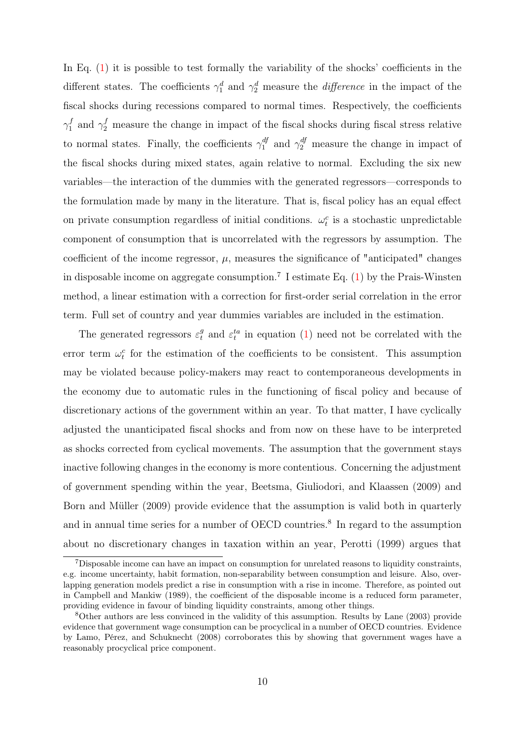In Eq.  $(1)$  it is possible to test formally the variability of the shocks' coefficients in the different states. The coefficients  $\gamma_1^d$  and  $\gamma_2^d$  measure the *difference* in the impact of the fiscal shocks during recessions compared to normal times. Respectively, the coefficients  $\gamma_1^f$  and  $\gamma_2^f$  measure the change in impact of the fiscal shocks during fiscal stress relative to normal states. Finally, the coefficients  $\gamma_1^{df}$  and  $\gamma_2^{df}$  measure the change in impact of the fiscal shocks during mixed states, again relative to normal. Excluding the six new variables—the interaction of the dummies with the generated regressors—corresponds to the formulation made by many in the literature. That is, fiscal policy has an equal effect on private consumption regardless of initial conditions.  $\omega_t^c$  is a stochastic unpredictable component of consumption that is uncorrelated with the regressors by assumption. The coefficient of the income regressor,  $\mu$ , measures the significance of "anticipated" changes in disposable income on aggregate consumption.<sup>7</sup> I estimate Eq.  $(1)$  by the Prais-Winsten method, a linear estimation with a correction for first-order serial correlation in the error term. Full set of country and year dummies variables are included in the estimation.

The generated regressors  $\varepsilon_t^g$  and  $\varepsilon_t^{ta}$  in equation (1) need not be correlated with the error term  $\omega_t^c$  for the estimation of the coefficients to be consistent. This assumption may be violated because policy-makers may react to contemporaneous developments in the economy due to automatic rules in the functioning of fiscal policy and because of discretionary actions of the government within an year. To that matter, I have cyclically adjusted the unanticipated fiscal shocks and from now on these have to be interpreted as shocks corrected from cyclical movements. The assumption that the government stays inactive following changes in the economy is more contentious. Concerning the adjustment of government spending within the year, Beetsma, Giuliodori, and Klaassen (2009) and Born and Müller (2009) provide evidence that the assumption is valid both in quarterly and in annual time series for a number of OECD countries.<sup>8</sup> In regard to the assumption about no discretionary changes in taxation within an year, Perotti (1999) argues that

<sup>7</sup>Disposable income can have an impact on consumption for unrelated reasons to liquidity constraints, e.g. income uncertainty, habit formation, non-separability between consumption and leisure. Also, overlapping generation models predict a rise in consumption with a rise in income. Therefore, as pointed out in Campbell and Mankiw (1989), the coefficient of the disposable income is a reduced form parameter, providing evidence in favour of binding liquidity constraints, among other things.

<sup>8</sup>Other authors are less convinced in the validity of this assumption. Results by Lane (2003) provide evidence that government wage consumption can be procyclical in a number of OECD countries. Evidence by Lamo, Pérez, and Schuknecht (2008) corroborates this by showing that government wages have a reasonably procyclical price component.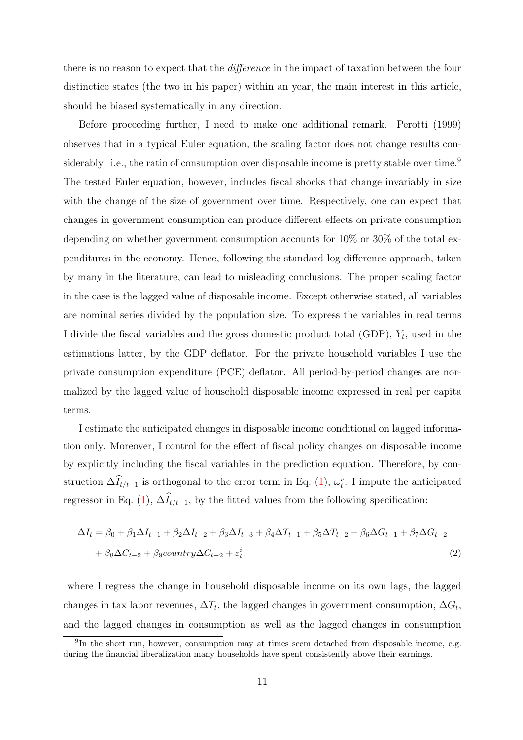there is no reason to expect that the *difference* in the impact of taxation between the four distinctice states (the two in his paper) within an year, the main interest in this article, should be biased systematically in any direction.

Before proceeding further, I need to make one additional remark. Perotti (1999) observes that in a typical Euler equation, the scaling factor does not change results considerably: i.e., the ratio of consumption over disposable income is pretty stable over time.<sup>9</sup> The tested Euler equation, however, includes fiscal shocks that change invariably in size with the change of the size of government over time. Respectively, one can expect that changes in government consumption can produce different effects on private consumption depending on whether government consumption accounts for 10% or 30% of the total expenditures in the economy. Hence, following the standard log difference approach, taken by many in the literature, can lead to misleading conclusions. The proper scaling factor in the case is the lagged value of disposable income. Except otherwise stated, all variables are nominal series divided by the population size. To express the variables in real terms I divide the fiscal variables and the gross domestic product total (GDP),  $Y_t$ , used in the estimations latter, by the GDP deflator. For the private household variables I use the private consumption expenditure (PCE) deflator. All period-by-period changes are normalized by the lagged value of household disposable income expressed in real per capita terms.

I estimate the anticipated changes in disposable income conditional on lagged information only. Moreover, I control for the effect of fiscal policy changes on disposable income by explicitly including the fiscal variables in the prediction equation. Therefore, by construction  $\Delta \widehat{I}_{t/t-1}$  is orthogonal to the error term in Eq. (1),  $\omega_t^c$ . I impute the anticipated regressor in Eq. (1),  $\Delta \widehat{I}_{t/t-1}$ , by the fitted values from the following specification:

$$
\Delta I_t = \beta_0 + \beta_1 \Delta I_{t-1} + \beta_2 \Delta I_{t-2} + \beta_3 \Delta I_{t-3} + \beta_4 \Delta T_{t-1} + \beta_5 \Delta T_{t-2} + \beta_6 \Delta G_{t-1} + \beta_7 \Delta G_{t-2} + \beta_8 \Delta C_{t-2} + \beta_9 country \Delta C_{t-2} + \varepsilon_t^i,
$$
\n(2)

where I regress the change in household disposable income on its own lags, the lagged changes in tax labor revenues,  $\Delta T_t$ , the lagged changes in government consumption,  $\Delta G_t$ , and the lagged changes in consumption as well as the lagged changes in consumption

<sup>&</sup>lt;sup>9</sup>In the short run, however, consumption may at times seem detached from disposable income, e.g. during the financial liberalization many households have spent consistently above their earnings.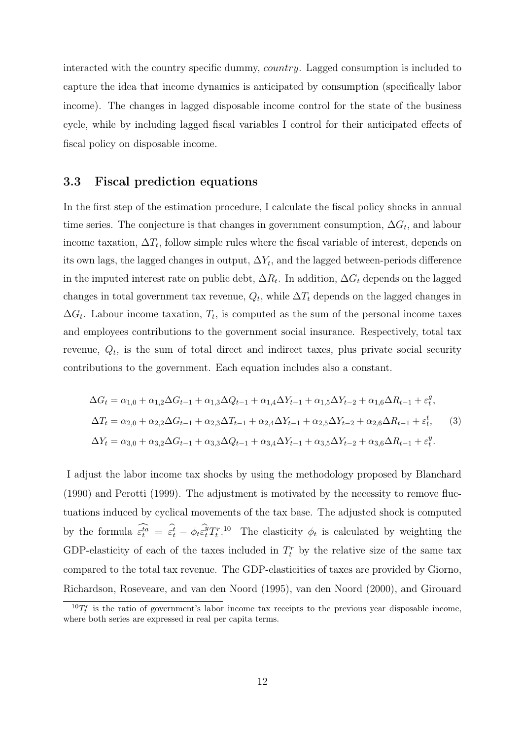interacted with the country specific dummy, country. Lagged consumption is included to capture the idea that income dynamics is anticipated by consumption (specifically labor income). The changes in lagged disposable income control for the state of the business cycle, while by including lagged fiscal variables I control for their anticipated effects of fiscal policy on disposable income.

### 3.3 Fiscal prediction equations

In the first step of the estimation procedure, I calculate the fiscal policy shocks in annual time series. The conjecture is that changes in government consumption,  $\Delta G_t$ , and labour income taxation,  $\Delta T_t$ , follow simple rules where the fiscal variable of interest, depends on its own lags, the lagged changes in output,  $\Delta Y_t$ , and the lagged between-periods difference in the imputed interest rate on public debt,  $\Delta R_t$ . In addition,  $\Delta G_t$  depends on the lagged changes in total government tax revenue,  $Q_t$ , while  $\Delta T_t$  depends on the lagged changes in  $\Delta G_t$ . Labour income taxation,  $T_t$ , is computed as the sum of the personal income taxes and employees contributions to the government social insurance. Respectively, total tax revenue,  $Q_t$ , is the sum of total direct and indirect taxes, plus private social security contributions to the government. Each equation includes also a constant.

$$
\Delta G_t = \alpha_{1,0} + \alpha_{1,2}\Delta G_{t-1} + \alpha_{1,3}\Delta Q_{t-1} + \alpha_{1,4}\Delta Y_{t-1} + \alpha_{1,5}\Delta Y_{t-2} + \alpha_{1,6}\Delta R_{t-1} + \varepsilon_t^g,
$$
  
\n
$$
\Delta T_t = \alpha_{2,0} + \alpha_{2,2}\Delta G_{t-1} + \alpha_{2,3}\Delta T_{t-1} + \alpha_{2,4}\Delta Y_{t-1} + \alpha_{2,5}\Delta Y_{t-2} + \alpha_{2,6}\Delta R_{t-1} + \varepsilon_t^t,
$$
\n(3)  
\n
$$
\Delta Y_t = \alpha_{3,0} + \alpha_{3,2}\Delta G_{t-1} + \alpha_{3,3}\Delta Q_{t-1} + \alpha_{3,4}\Delta Y_{t-1} + \alpha_{3,5}\Delta Y_{t-2} + \alpha_{3,6}\Delta R_{t-1} + \varepsilon_t^y.
$$

I adjust the labor income tax shocks by using the methodology proposed by Blanchard (1990) and Perotti (1999). The adjustment is motivated by the necessity to remove fluctuations induced by cyclical movements of the tax base. The adjusted shock is computed by the formula  $\widehat{\epsilon_t^{ta}} = \widehat{\epsilon_t^t} - \phi_t \widehat{\epsilon_t^y} T_t^{r,10}$  The elasticity  $\phi_t$  is calculated by weighting the GDP-elasticity of each of the taxes included in  $T_t^r$  by the relative size of the same tax compared to the total tax revenue. The GDP-elasticities of taxes are provided by Giorno, Richardson, Roseveare, and van den Noord (1995), van den Noord (2000), and Girouard

 ${}^{10}T_t^r$  is the ratio of government's labor income tax receipts to the previous year disposable income, where both series are expressed in real per capita terms.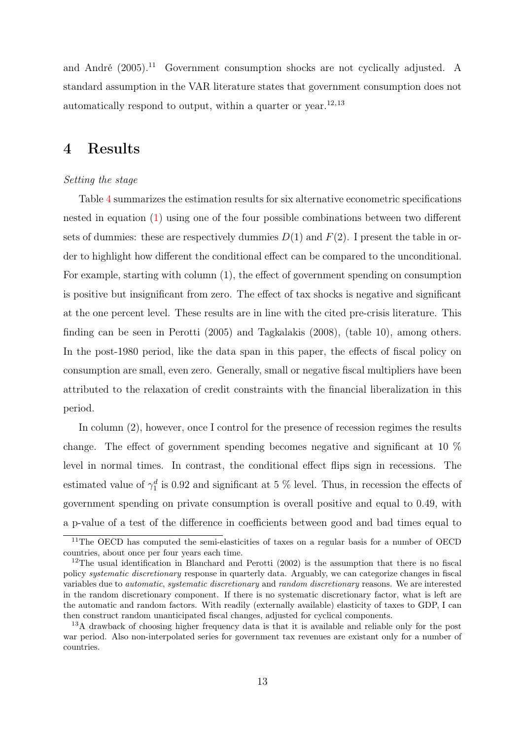and André (2005).<sup>11</sup> Government consumption shocks are not cyclically adjusted. A standard assumption in the VAR literature states that government consumption does not automatically respond to output, within a quarter or year. $12,13$ 

## 4 Results

#### Setting the stage

Table 4 summarizes the estimation results for six alternative econometric specifications nested in equation (1) using one of the four possible combinations between two different sets of dummies: these are respectively dummies  $D(1)$  and  $F(2)$ . I present the table in order to highlight how different the conditional effect can be compared to the unconditional. For example, starting with column (1), the effect of government spending on consumption is positive but insignificant from zero. The effect of tax shocks is negative and significant at the one percent level. These results are in line with the cited pre-crisis literature. This finding can be seen in Perotti (2005) and Tagkalakis (2008), (table 10), among others. In the post-1980 period, like the data span in this paper, the effects of fiscal policy on consumption are small, even zero. Generally, small or negative fiscal multipliers have been attributed to the relaxation of credit constraints with the financial liberalization in this period.

In column  $(2)$ , however, once I control for the presence of recession regimes the results change. The effect of government spending becomes negative and significant at 10 % level in normal times. In contrast, the conditional effect flips sign in recessions. The estimated value of  $\gamma_1^d$  is 0.92 and significant at 5 % level. Thus, in recession the effects of government spending on private consumption is overall positive and equal to 0.49, with a p-value of a test of the difference in coefficients between good and bad times equal to

<sup>&</sup>lt;sup>11</sup>The OECD has computed the semi-elasticities of taxes on a regular basis for a number of OECD countries, about once per four years each time.

<sup>&</sup>lt;sup>12</sup>The usual identification in Blanchard and Perotti  $(2002)$  is the assumption that there is no fiscal policy systematic discretionary response in quarterly data. Arguably, we can categorize changes in fiscal variables due to automatic, systematic discretionary and random discretionary reasons. We are interested in the random discretionary component. If there is no systematic discretionary factor, what is left are the automatic and random factors. With readily (externally available) elasticity of taxes to GDP, I can then construct random unanticipated fiscal changes, adjusted for cyclical components.

<sup>&</sup>lt;sup>13</sup>A drawback of choosing higher frequency data is that it is available and reliable only for the post war period. Also non-interpolated series for government tax revenues are existant only for a number of countries.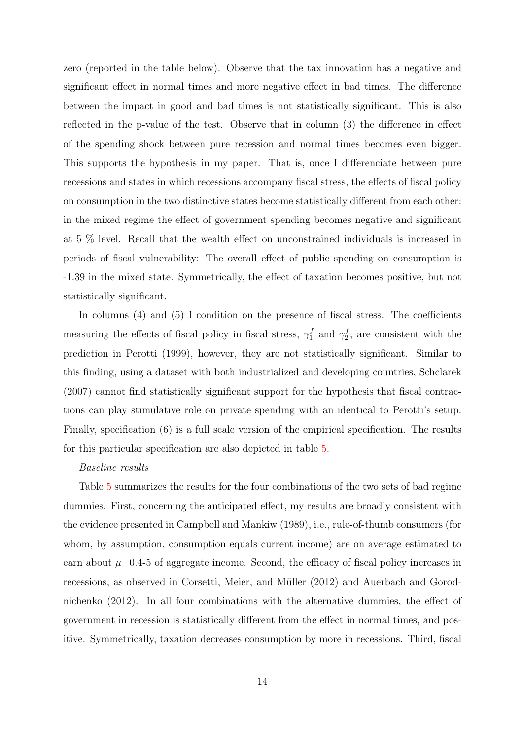zero (reported in the table below). Observe that the tax innovation has a negative and significant effect in normal times and more negative effect in bad times. The difference between the impact in good and bad times is not statistically significant. This is also reflected in the p-value of the test. Observe that in column (3) the difference in effect of the spending shock between pure recession and normal times becomes even bigger. This supports the hypothesis in my paper. That is, once I differenciate between pure recessions and states in which recessions accompany fiscal stress, the effects of fiscal policy on consumption in the two distinctive states become statistically different from each other: in the mixed regime the effect of government spending becomes negative and significant at 5 % level. Recall that the wealth effect on unconstrained individuals is increased in periods of fiscal vulnerability: The overall effect of public spending on consumption is -1.39 in the mixed state. Symmetrically, the effect of taxation becomes positive, but not statistically significant.

In columns (4) and (5) I condition on the presence of fiscal stress. The coefficients measuring the effects of fiscal policy in fiscal stress,  $\gamma_1^f$  and  $\gamma_2^f$ , are consistent with the prediction in Perotti (1999), however, they are not statistically significant. Similar to this finding, using a dataset with both industrialized and developing countries, Schclarek (2007) cannot find statistically significant support for the hypothesis that fiscal contractions can play stimulative role on private spending with an identical to Perotti's setup. Finally, specification (6) is a full scale version of the empirical specification. The results for this particular specification are also depicted in table 5.

#### Baseline results

Table 5 summarizes the results for the four combinations of the two sets of bad regime dummies. First, concerning the anticipated effect, my results are broadly consistent with the evidence presented in Campbell and Mankiw (1989), i.e., rule-of-thumb consumers (for whom, by assumption, consumption equals current income) are on average estimated to earn about  $\mu=0.4$ -5 of aggregate income. Second, the efficacy of fiscal policy increases in recessions, as observed in Corsetti, Meier, and Müller (2012) and Auerbach and Gorodnichenko (2012). In all four combinations with the alternative dummies, the effect of government in recession is statistically different from the effect in normal times, and positive. Symmetrically, taxation decreases consumption by more in recessions. Third, fiscal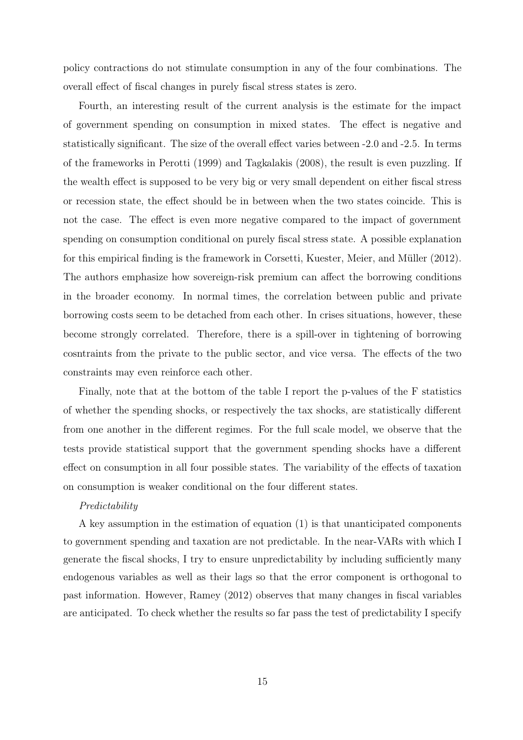policy contractions do not stimulate consumption in any of the four combinations. The overall effect of fiscal changes in purely fiscal stress states is zero.

Fourth, an interesting result of the current analysis is the estimate for the impact of government spending on consumption in mixed states. The effect is negative and statistically significant. The size of the overall effect varies between -2.0 and -2.5. In terms of the frameworks in Perotti (1999) and Tagkalakis (2008), the result is even puzzling. If the wealth effect is supposed to be very big or very small dependent on either fiscal stress or recession state, the effect should be in between when the two states coincide. This is not the case. The effect is even more negative compared to the impact of government spending on consumption conditional on purely fiscal stress state. A possible explanation for this empirical finding is the framework in Corsetti, Kuester, Meier, and Müller (2012). The authors emphasize how sovereign-risk premium can affect the borrowing conditions in the broader economy. In normal times, the correlation between public and private borrowing costs seem to be detached from each other. In crises situations, however, these become strongly correlated. Therefore, there is a spill-over in tightening of borrowing cosntraints from the private to the public sector, and vice versa. The effects of the two constraints may even reinforce each other.

Finally, note that at the bottom of the table I report the p-values of the F statistics of whether the spending shocks, or respectively the tax shocks, are statistically different from one another in the different regimes. For the full scale model, we observe that the tests provide statistical support that the government spending shocks have a different effect on consumption in all four possible states. The variability of the effects of taxation on consumption is weaker conditional on the four different states.

#### Predictability

A key assumption in the estimation of equation (1) is that unanticipated components to government spending and taxation are not predictable. In the near-VARs with which I generate the fiscal shocks, I try to ensure unpredictability by including sufficiently many endogenous variables as well as their lags so that the error component is orthogonal to past information. However, Ramey (2012) observes that many changes in fiscal variables are anticipated. To check whether the results so far pass the test of predictability I specify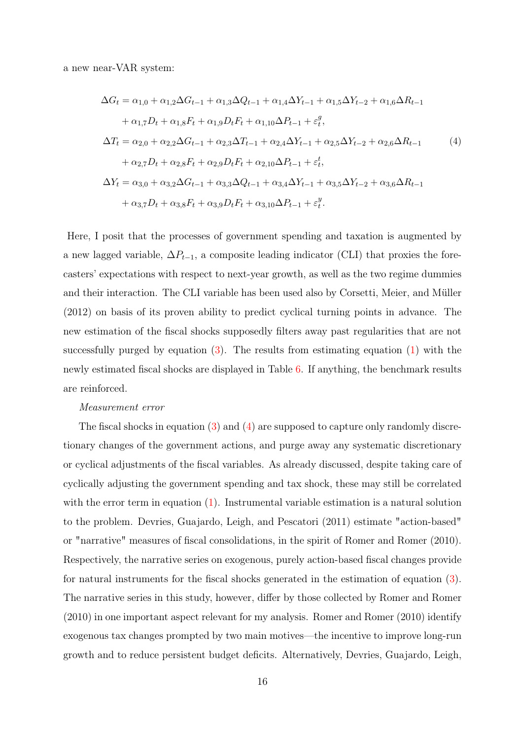a new near-VAR system:

$$
\Delta G_t = \alpha_{1,0} + \alpha_{1,2}\Delta G_{t-1} + \alpha_{1,3}\Delta Q_{t-1} + \alpha_{1,4}\Delta Y_{t-1} + \alpha_{1,5}\Delta Y_{t-2} + \alpha_{1,6}\Delta R_{t-1} \n+ \alpha_{1,7}D_t + \alpha_{1,8}F_t + \alpha_{1,9}D_tF_t + \alpha_{1,10}\Delta P_{t-1} + \varepsilon_t^g, \n\Delta T_t = \alpha_{2,0} + \alpha_{2,2}\Delta G_{t-1} + \alpha_{2,3}\Delta T_{t-1} + \alpha_{2,4}\Delta Y_{t-1} + \alpha_{2,5}\Delta Y_{t-2} + \alpha_{2,6}\Delta R_{t-1} \n+ \alpha_{2,7}D_t + \alpha_{2,8}F_t + \alpha_{2,9}D_tF_t + \alpha_{2,10}\Delta P_{t-1} + \varepsilon_t^t, \n\Delta Y_t = \alpha_{3,0} + \alpha_{3,2}\Delta G_{t-1} + \alpha_{3,3}\Delta Q_{t-1} + \alpha_{3,4}\Delta Y_{t-1} + \alpha_{3,5}\Delta Y_{t-2} + \alpha_{3,6}\Delta R_{t-1} \n+ \alpha_{3,7}D_t + \alpha_{3,8}F_t + \alpha_{3,9}D_tF_t + \alpha_{3,10}\Delta P_{t-1} + \varepsilon_t^g.
$$
\n(4)

Here, I posit that the processes of government spending and taxation is augmented by a new lagged variable,  $\Delta P_{t-1}$ , a composite leading indicator (CLI) that proxies the forecasters' expectations with respect to next-year growth, as well as the two regime dummies and their interaction. The CLI variable has been used also by Corsetti, Meier, and Müller (2012) on basis of its proven ability to predict cyclical turning points in advance. The new estimation of the fiscal shocks supposedly filters away past regularities that are not successfully purged by equation  $(3)$ . The results from estimating equation  $(1)$  with the newly estimated fiscal shocks are displayed in Table 6. If anything, the benchmark results are reinforced.

#### Measurement error

The fiscal shocks in equation (3) and (4) are supposed to capture only randomly discretionary changes of the government actions, and purge away any systematic discretionary or cyclical adjustments of the fiscal variables. As already discussed, despite taking care of cyclically adjusting the government spending and tax shock, these may still be correlated with the error term in equation (1). Instrumental variable estimation is a natural solution to the problem. Devries, Guajardo, Leigh, and Pescatori (2011) estimate "action-based" or "narrative" measures of fiscal consolidations, in the spirit of Romer and Romer (2010). Respectively, the narrative series on exogenous, purely action-based fiscal changes provide for natural instruments for the fiscal shocks generated in the estimation of equation (3). The narrative series in this study, however, differ by those collected by Romer and Romer (2010) in one important aspect relevant for my analysis. Romer and Romer (2010) identify exogenous tax changes prompted by two main motives—the incentive to improve long-run growth and to reduce persistent budget deficits. Alternatively, Devries, Guajardo, Leigh,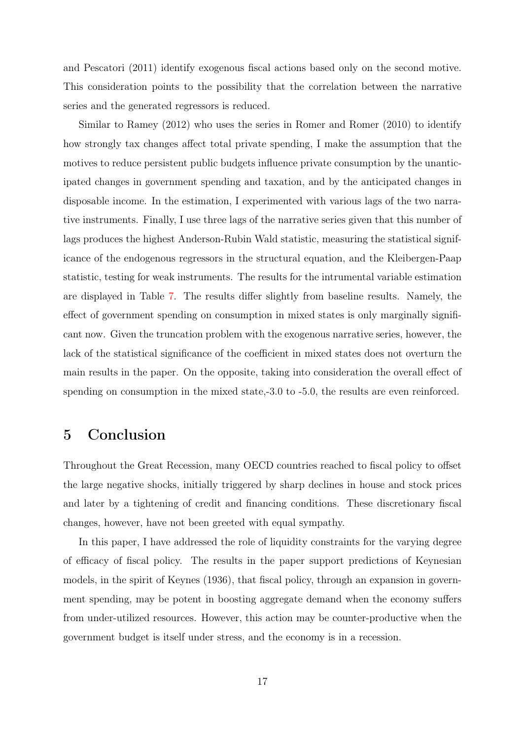and Pescatori (2011) identify exogenous fiscal actions based only on the second motive. This consideration points to the possibility that the correlation between the narrative series and the generated regressors is reduced.

Similar to Ramey (2012) who uses the series in Romer and Romer (2010) to identify how strongly tax changes affect total private spending, I make the assumption that the motives to reduce persistent public budgets influence private consumption by the unanticipated changes in government spending and taxation, and by the anticipated changes in disposable income. In the estimation, I experimented with various lags of the two narrative instruments. Finally, I use three lags of the narrative series given that this number of lags produces the highest Anderson-Rubin Wald statistic, measuring the statistical significance of the endogenous regressors in the structural equation, and the Kleibergen-Paap statistic, testing for weak instruments. The results for the intrumental variable estimation are displayed in Table 7. The results differ slightly from baseline results. Namely, the effect of government spending on consumption in mixed states is only marginally significant now. Given the truncation problem with the exogenous narrative series, however, the lack of the statistical significance of the coefficient in mixed states does not overturn the main results in the paper. On the opposite, taking into consideration the overall effect of spending on consumption in the mixed state,-3.0 to -5.0, the results are even reinforced.

## 5 Conclusion

Throughout the Great Recession, many OECD countries reached to fiscal policy to offset the large negative shocks, initially triggered by sharp declines in house and stock prices and later by a tightening of credit and financing conditions. These discretionary fiscal changes, however, have not been greeted with equal sympathy.

In this paper, I have addressed the role of liquidity constraints for the varying degree of efficacy of fiscal policy. The results in the paper support predictions of Keynesian models, in the spirit of Keynes (1936), that fiscal policy, through an expansion in government spending, may be potent in boosting aggregate demand when the economy suffers from under-utilized resources. However, this action may be counter-productive when the government budget is itself under stress, and the economy is in a recession.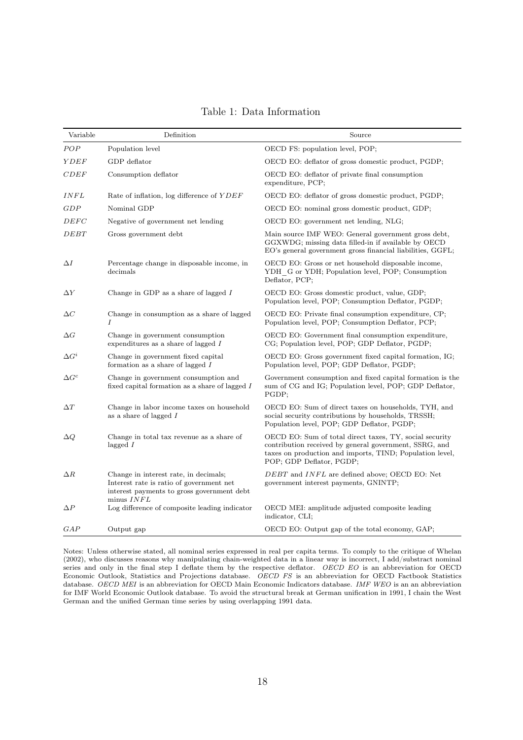| Variable     | Definition                                                                                                                                    | Source                                                                                                                                                                                                    |
|--------------|-----------------------------------------------------------------------------------------------------------------------------------------------|-----------------------------------------------------------------------------------------------------------------------------------------------------------------------------------------------------------|
| POP          | Population level                                                                                                                              | OECD FS: population level, POP;                                                                                                                                                                           |
| YDEF         | GDP deflator                                                                                                                                  | OECD EO: deflator of gross domestic product, PGDP;                                                                                                                                                        |
| CDEF         | Consumption deflator                                                                                                                          | OECD EO: deflator of private final consumption<br>expenditure, PCP;                                                                                                                                       |
| INFL         | Rate of inflation, $log$ difference of $YDEF$                                                                                                 | OECD EO: deflator of gross domestic product, PGDP;                                                                                                                                                        |
| GDP          | Nominal GDP                                                                                                                                   | OECD EO: nominal gross domestic product, GDP;                                                                                                                                                             |
| DEFC         | Negative of government net lending                                                                                                            | OECD EO: government net lending, NLG;                                                                                                                                                                     |
| DEBT         | Gross government debt                                                                                                                         | Main source IMF WEO: General government gross debt,<br>GGXWDG; missing data filled-in if available by OECD<br>EO's general government gross financial liabilities, GGFL;                                  |
| $\Delta I$   | Percentage change in disposable income, in<br>decimals                                                                                        | OECD EO: Gross or net household disposable income,<br>YDH G or YDH; Population level, POP; Consumption<br>Deflator, PCP;                                                                                  |
| $\Delta Y$   | Change in GDP as a share of lagged $I$                                                                                                        | OECD EO: Gross domestic product, value, GDP;<br>Population level, POP; Consumption Deflator, PGDP;                                                                                                        |
| $\Delta C$   | Change in consumption as a share of lagged<br>I                                                                                               | OECD EO: Private final consumption expenditure, CP;<br>Population level, POP; Consumption Deflator, PCP;                                                                                                  |
| $\Delta G$   | Change in government consumption<br>expenditures as a share of lagged $I$                                                                     | OECD EO: Government final consumption expenditure,<br>CG; Population level, POP; GDP Deflator, PGDP;                                                                                                      |
| $\Delta G^i$ | Change in government fixed capital<br>formation as a share of lagged $I$                                                                      | OECD EO: Gross government fixed capital formation, IG;<br>Population level, POP; GDP Deflator, PGDP;                                                                                                      |
| $\Delta G^c$ | Change in government consumption and<br>fixed capital formation as a share of lagged I                                                        | Government consumption and fixed capital formation is the<br>sum of CG and IG; Population level, POP; GDP Deflator,<br>PGDP;                                                                              |
| $\Delta T$   | Change in labor income taxes on household<br>as a share of lagged $I$                                                                         | OECD EO: Sum of direct taxes on households, TYH, and<br>social security contributions by households, TRSSH;<br>Population level, POP; GDP Deflator, PGDP;                                                 |
| $\Delta Q$   | Change in total tax revenue as a share of<br>lagged $I$                                                                                       | OECD EO: Sum of total direct taxes, TY, social security<br>contribution received by general government, SSRG, and<br>taxes on production and imports, TIND; Population level,<br>POP; GDP Deflator, PGDP; |
| $\Delta R$   | Change in interest rate, in decimals;<br>Interest rate is ratio of government net<br>interest payments to gross government debt<br>minus INFL | DEBT and INFL are defined above; OECD EO: Net<br>government interest payments, GNINTP;                                                                                                                    |
| $\Delta P$   | Log difference of composite leading indicator                                                                                                 | OECD MEI: amplitude adjusted composite leading<br>indicator, CLI;                                                                                                                                         |
| GAP          | Output gap                                                                                                                                    | OECD EO: Output gap of the total economy, GAP;                                                                                                                                                            |

Table 1: Data Information

Notes: Unless otherwise stated, all nominal series expressed in real per capita terms. To comply to the critique of Whelan (2002), who discusses reasons why manipulating chain-weighted data in a linear way is incorrect, I add/substract nominal series and only in the final step I deflate them by the respective deflator. OECD EO is an abbreviation for OECD Economic Outlook, Statistics and Projections database. OECD FS is an abbreviation for OECD Factbook Statistics database. OECD MEI is an abbreviation for OECD Main Economic Indicators database. IMF WEO is an an abbreviation for IMF World Economic Outlook database. To avoid the structural break at German unification in 1991, I chain the West German and the unified German time series by using overlapping 1991 data.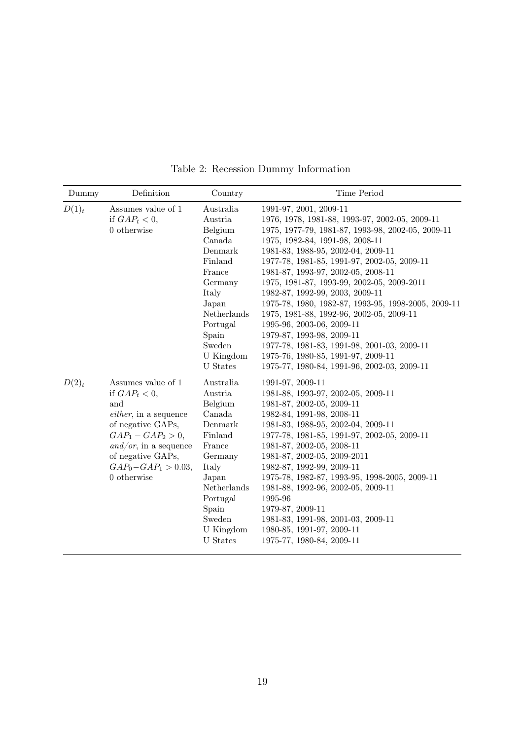| Dummy    | Definition                                                                                                                                                                                                       | Country                                                                                                                                                                               | Time Period                                                                                                                                                                                                                                                                                                                                                                                                                                                                                                                                                                                                                                                                   |
|----------|------------------------------------------------------------------------------------------------------------------------------------------------------------------------------------------------------------------|---------------------------------------------------------------------------------------------------------------------------------------------------------------------------------------|-------------------------------------------------------------------------------------------------------------------------------------------------------------------------------------------------------------------------------------------------------------------------------------------------------------------------------------------------------------------------------------------------------------------------------------------------------------------------------------------------------------------------------------------------------------------------------------------------------------------------------------------------------------------------------|
| $D(1)_t$ | Assumes value of 1<br>if $GAP_t < 0$ ,<br>$0$ otherwise                                                                                                                                                          | Australia<br>Austria<br>Belgium<br>Canada<br>Denmark<br>Finland<br>France<br>Germany<br>Italy<br>Japan<br>Netherlands<br>Portugal<br>Spain<br>Sweden<br>U Kingdom<br><b>U</b> States  | 1991-97, 2001, 2009-11<br>1976, 1978, 1981-88, 1993-97, 2002-05, 2009-11<br>1975, 1977-79, 1981-87, 1993-98, 2002-05, 2009-11<br>1975, 1982-84, 1991-98, 2008-11<br>1981-83, 1988-95, 2002-04, 2009-11<br>1977-78, 1981-85, 1991-97, 2002-05, 2009-11<br>1981-87, 1993-97, 2002-05, 2008-11<br>1975, 1981-87, 1993-99, 2002-05, 2009-2011<br>1982-87, 1992-99, 2003, 2009-11<br>1975-78, 1980, 1982-87, 1993-95, 1998-2005, 2009-11<br>1975, 1981-88, 1992-96, 2002-05, 2009-11<br>1995-96, 2003-06, 2009-11<br>1979-87, 1993-98, 2009-11<br>1977-78, 1981-83, 1991-98, 2001-03, 2009-11<br>1975-76, 1980-85, 1991-97, 2009-11<br>1975-77, 1980-84, 1991-96, 2002-03, 2009-11 |
| $D(2)_t$ | Assumes value of 1<br>if $GAP_t < 0$ ,<br>and<br>$either$ , in a sequence<br>of negative GAPs,<br>$GAP_1 - GAP_2 > 0$ ,<br>and/or, in a sequence<br>of negative GAPs,<br>$GAP_0 - GAP_1 > 0.03$ ,<br>0 otherwise | Australia<br>Austria<br>Belgium<br>Canada<br>Denmark<br>Finland<br>France<br>Germany<br>Italy<br>Japan<br>${\bf Netherlands}$<br>Portugal<br>Spain<br>Sweden<br>U Kingdom<br>U States | 1991-97, 2009-11<br>1981-88, 1993-97, 2002-05, 2009-11<br>1981-87, 2002-05, 2009-11<br>1982-84, 1991-98, 2008-11<br>1981-83, 1988-95, 2002-04, 2009-11<br>1977-78, 1981-85, 1991-97, 2002-05, 2009-11<br>1981-87, 2002-05, 2008-11<br>1981-87, 2002-05, 2009-2011<br>1982-87, 1992-99, 2009-11<br>1975-78, 1982-87, 1993-95, 1998-2005, 2009-11<br>1981-88, 1992-96, 2002-05, 2009-11<br>1995-96<br>1979-87, 2009-11<br>1981-83, 1991-98, 2001-03, 2009-11<br>1980-85, 1991-97, 2009-11<br>1975-77, 1980-84, 2009-11                                                                                                                                                          |

Table 2: Recession Dummy Information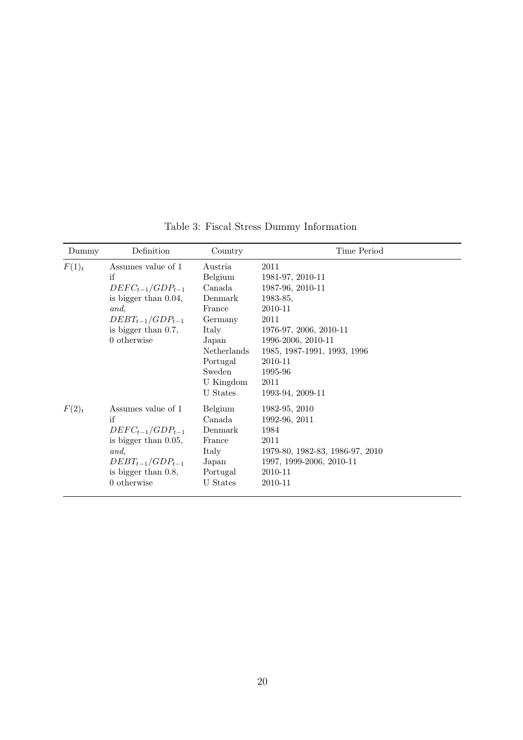| Dummy    | Definition                                                                                                                                            | Country                                                                                                                                      | Time Period                                                                                                                                                                                                    |
|----------|-------------------------------------------------------------------------------------------------------------------------------------------------------|----------------------------------------------------------------------------------------------------------------------------------------------|----------------------------------------------------------------------------------------------------------------------------------------------------------------------------------------------------------------|
| $F(1)_t$ | Assumes value of 1<br>if<br>$DEFC_{t-1}/GDP_{t-1}$<br>is bigger than $0.04$ ,<br>and,<br>$DEBT_{t-1}/GDP_{t-1}$<br>is bigger than 0.7,<br>0 otherwise | Austria<br>Belgium<br>Canada<br>Denmark<br>France<br>Germany<br>Italy<br>Japan<br>Netherlands<br>Portugal<br>Sweden<br>U Kingdom<br>U States | 2011<br>1981-97, 2010-11<br>1987-96, 2010-11<br>$1983-85,$<br>2010-11<br>2011<br>1976-97, 2006, 2010-11<br>1996-2006, 2010-11<br>1985, 1987-1991, 1993, 1996<br>2010-11<br>1995-96<br>2011<br>1993-94, 2009-11 |
| $F(2)_t$ | Assumes value of 1<br>if<br>$DEFC_{t-1}/GDP_{t-1}$<br>is bigger than $0.05$ ,<br>and,<br>$DEBT_{t-1}/GDP_{t-1}$<br>is bigger than 0.8,<br>0 otherwise | Belgium<br>Canada<br>Denmark<br>France<br>Italy<br>Japan<br>Portugal<br><b>U</b> States                                                      | 1982-95, 2010<br>1992-96, 2011<br>1984<br>2011<br>1979-80, 1982-83, 1986-97, 2010<br>1997, 1999-2006, 2010-11<br>2010-11<br>2010-11                                                                            |

Table 3: Fiscal Stress Dummy Information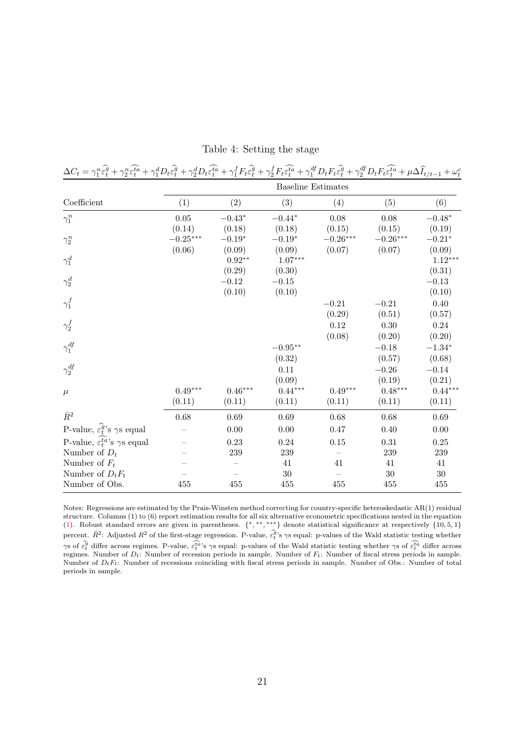| $\Delta C_t = \gamma_1^n \hat{\epsilon}_t^{\hat{g}} + \gamma_2^n \hat{\epsilon}_t^{\hat{t}\hat{a}} + \gamma_1^d D_t \hat{\epsilon}_t^{\hat{g}} + \gamma_2^d D_t \hat{\epsilon}_t^{\hat{t}\hat{a}} + \gamma_1^f F_t \hat{\epsilon}_t^{\hat{g}} + \gamma_2^f F_t \hat{\epsilon}_t^{\hat{t}\hat{a}} + \gamma_1^{df} D_t F_t \hat{\epsilon}_t^{\hat{g}} + \gamma_2^{df} D_t F_t \hat{\epsilon}_t^{\hat{t}\hat{a}} + \mu \Delta \hat{I}_{t/t-1} + \omega_t^c D_t F_t \hat{\epsilon}_t^$ |            |                |                           |            |                        |           |
|------------------------------------------------------------------------------------------------------------------------------------------------------------------------------------------------------------------------------------------------------------------------------------------------------------------------------------------------------------------------------------------------------------------------------------------------------------------------------------|------------|----------------|---------------------------|------------|------------------------|-----------|
|                                                                                                                                                                                                                                                                                                                                                                                                                                                                                    |            |                | <b>Baseline Estimates</b> |            |                        |           |
| Coefficient                                                                                                                                                                                                                                                                                                                                                                                                                                                                        | (1)        | (2)            | (3)                       | (4)        | (5)                    | (6)       |
| $\gamma_1^n$                                                                                                                                                                                                                                                                                                                                                                                                                                                                       | 0.05       | $-0.43*$       | $-0.44*$                  | 0.08       | 0.08                   | $-0.48*$  |
|                                                                                                                                                                                                                                                                                                                                                                                                                                                                                    | (0.14)     | (0.18)         | (0.18)                    | (0.15)     | (0.15)                 | (0.19)    |
| $\gamma_2^n$                                                                                                                                                                                                                                                                                                                                                                                                                                                                       | $-0.25***$ | $-0.19^{\ast}$ | $-0.19^{\ast}$            | $-0.26***$ | $-0.26^{\ast\ast\ast}$ | $-0.21*$  |
|                                                                                                                                                                                                                                                                                                                                                                                                                                                                                    | (0.06)     | (0.09)         | (0.09)                    | (0.07)     | (0.07)                 | (0.09)    |
| $\gamma^d_1$                                                                                                                                                                                                                                                                                                                                                                                                                                                                       |            | $0.92**$       | $1.07***$                 |            |                        | $1.12***$ |
|                                                                                                                                                                                                                                                                                                                                                                                                                                                                                    |            | (0.29)         | (0.30)                    |            |                        | (0.31)    |
| $\gamma_2^d$                                                                                                                                                                                                                                                                                                                                                                                                                                                                       |            | $-0.12$        | $-0.15$                   |            |                        | $-0.13$   |
|                                                                                                                                                                                                                                                                                                                                                                                                                                                                                    |            | (0.10)         | (0.10)                    |            |                        | (0.10)    |
| $\gamma_1^f$                                                                                                                                                                                                                                                                                                                                                                                                                                                                       |            |                |                           | $-0.21$    | $-0.21$                | 0.40      |
|                                                                                                                                                                                                                                                                                                                                                                                                                                                                                    |            |                |                           | (0.29)     | (0.51)                 | (0.57)    |
| $\gamma_2^f$                                                                                                                                                                                                                                                                                                                                                                                                                                                                       |            |                |                           | 0.12       | 0.30                   | 0.24      |
|                                                                                                                                                                                                                                                                                                                                                                                                                                                                                    |            |                |                           | (0.08)     | (0.20)                 | (0.20)    |
| $\gamma_1^{df}$                                                                                                                                                                                                                                                                                                                                                                                                                                                                    |            |                | $-0.95**$                 |            | $-0.18$                | $-1.34*$  |
|                                                                                                                                                                                                                                                                                                                                                                                                                                                                                    |            |                | (0.32)                    |            | (0.57)                 | (0.68)    |
| $\gamma_2^{df}$                                                                                                                                                                                                                                                                                                                                                                                                                                                                    |            |                | 0.11                      |            | $-0.26$                | $-0.14$   |
|                                                                                                                                                                                                                                                                                                                                                                                                                                                                                    |            |                | (0.09)                    |            | (0.19)                 | (0.21)    |
| $\mu$                                                                                                                                                                                                                                                                                                                                                                                                                                                                              | $0.49***$  | $0.46***$      | $0.44***$                 | $0.49***$  | $0.48***$              | $0.44***$ |
|                                                                                                                                                                                                                                                                                                                                                                                                                                                                                    | (0.11)     | (0.11)         | (0.11)                    | (0.11)     | (0.11)                 | (0.11)    |
| $\bar{R}^2$                                                                                                                                                                                                                                                                                                                                                                                                                                                                        | 0.68       | 0.69           | 0.69                      | 0.68       | 0.68                   | 0.69      |
| P-value, $\widehat{\varepsilon_t^g}$ 's $\gamma$ s equal                                                                                                                                                                                                                                                                                                                                                                                                                           |            | 0.00           | 0.00                      | 0.47       | 0.40                   | 0.00      |
| P-value, $\varepsilon_t^{ta}$ 's $\gamma s$ equal                                                                                                                                                                                                                                                                                                                                                                                                                                  |            | 0.23           | 0.24                      | 0.15       | 0.31                   | 0.25      |
| Number of $D_t$                                                                                                                                                                                                                                                                                                                                                                                                                                                                    |            | 239            | 239                       |            | 239                    | $239\,$   |
| Number of $F_t$                                                                                                                                                                                                                                                                                                                                                                                                                                                                    |            |                | 41                        | 41         | 41                     | 41        |
| Number of $D_t F_t$                                                                                                                                                                                                                                                                                                                                                                                                                                                                |            |                | 30                        |            | 30                     | $30\,$    |
| Number of Obs.                                                                                                                                                                                                                                                                                                                                                                                                                                                                     | 455        | 455            | 455                       | 455        | 455                    | 455       |

Table 4: Setting the stage

Notes: Regressions are estimated by the Prais-Winsten method correcting for country-specific heteroskedastic AR(1) residual structure. Columns (1) to (6) report estimation results for all six alternative econometric specifications nested in the equation (1). Robust standard errors are given in parentheses. { ∗, ∗∗, ∗∗∗} denote statistical significance at respectively {10, 5, 1} percent.  $\bar{R}^2$ : Adjusted  $R^2$  of the first-stage regression. P-value,  $\hat{\epsilon}_t^{\hat{q}}$ 's  $\gamma$ s equal: p-values of the Wald statistic testing whether  $\gamma$ s of  $\hat{\epsilon}_t^{\hat{q}}$  differ across regimes. P-value,  $\hat{\epsilon}_t^{\hat{t}$ regimes. Number of  $D_t$ : Number of recession periods in sample. Number of  $F_t$ : Number of fiscal stress periods in sample. Number of  $D_tF_t$ : Number of recessions coinciding with fiscal stress periods in sample. Number of Obs.: Number of total periods in sample.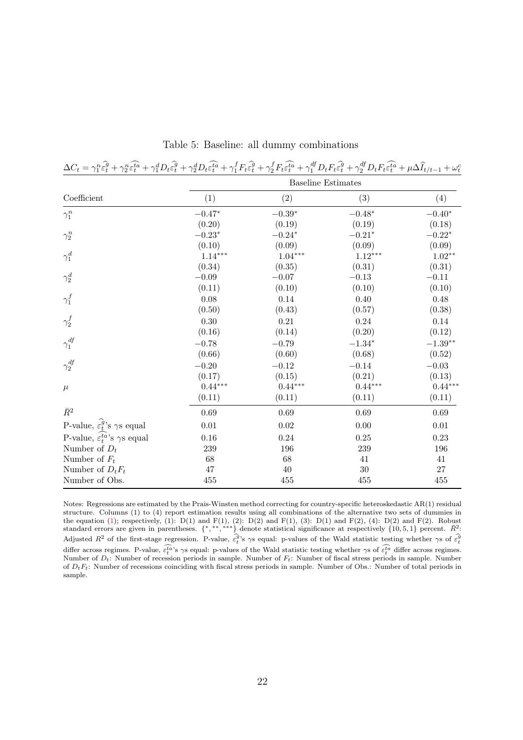| $\Delta C_t = \gamma_1^n \hat{\epsilon}_t^{\hat{g}} + \gamma_2^n \hat{\epsilon}_t^{\hat{t}\hat{a}} + \gamma_1^d D_t \hat{\epsilon}_t^{\hat{g}} + \gamma_2^d D_t \hat{\epsilon}_t^{\hat{t}\hat{a}} + \gamma_1^f F_t \hat{\epsilon}_t^{\hat{g}} + \gamma_2^f F_t \hat{\epsilon}_t^{\hat{t}\hat{a}} + \gamma_1^{df} D_t F_t \hat{\epsilon}_t^{\hat{g}} + \gamma_2^{df} D_t F_t \hat{\epsilon}_t^{\hat{t}\hat{a}} + \mu \Delta \hat{I}_{t/t-1} + \omega_t^d \hat{I}_{t/t-1}$ |                           |                |                |           |  |  |
|--------------------------------------------------------------------------------------------------------------------------------------------------------------------------------------------------------------------------------------------------------------------------------------------------------------------------------------------------------------------------------------------------------------------------------------------------------------------------|---------------------------|----------------|----------------|-----------|--|--|
|                                                                                                                                                                                                                                                                                                                                                                                                                                                                          | <b>Baseline Estimates</b> |                |                |           |  |  |
| Coefficient                                                                                                                                                                                                                                                                                                                                                                                                                                                              | (1)                       | (2)            | (3)            | (4)       |  |  |
| $\gamma_1^n$                                                                                                                                                                                                                                                                                                                                                                                                                                                             | $-0.47*$                  | $-0.39^{\ast}$ | $-0.48*$       | $-0.40*$  |  |  |
|                                                                                                                                                                                                                                                                                                                                                                                                                                                                          | (0.20)                    | (0.19)         | (0.19)         | (0.18)    |  |  |
| $\gamma_2^n$                                                                                                                                                                                                                                                                                                                                                                                                                                                             | $-0.23*$                  | $-0.24*$       | $-0.21*$       | $-0.22*$  |  |  |
|                                                                                                                                                                                                                                                                                                                                                                                                                                                                          | (0.10)                    | (0.09)         | (0.09)         | (0.09)    |  |  |
| $\gamma^d_1$                                                                                                                                                                                                                                                                                                                                                                                                                                                             | $1.14***$                 | $1.04***$      | $1.12***$      | $1.02**$  |  |  |
|                                                                                                                                                                                                                                                                                                                                                                                                                                                                          | (0.34)                    | (0.35)         | (0.31)         | (0.31)    |  |  |
| $\gamma^d_2$                                                                                                                                                                                                                                                                                                                                                                                                                                                             | $-0.09$                   | $-0.07$        | $-0.13$        | $-0.11\,$ |  |  |
|                                                                                                                                                                                                                                                                                                                                                                                                                                                                          | (0.11)                    | (0.10)         | (0.10)         | (0.10)    |  |  |
| $\gamma_1^f$                                                                                                                                                                                                                                                                                                                                                                                                                                                             | 0.08                      | 0.14           | 0.40           | 0.48      |  |  |
|                                                                                                                                                                                                                                                                                                                                                                                                                                                                          | (0.50)                    | (0.43)         | (0.57)         | (0.38)    |  |  |
| $\gamma_2^f$                                                                                                                                                                                                                                                                                                                                                                                                                                                             | 0.30                      | 0.21           | 0.24           | 0.14      |  |  |
|                                                                                                                                                                                                                                                                                                                                                                                                                                                                          | (0.16)                    | (0.14)         | (0.20)         | (0.12)    |  |  |
| $\gamma_1^{df}$                                                                                                                                                                                                                                                                                                                                                                                                                                                          | $-0.78$                   | $-0.79$        | $-1.34^{\ast}$ | $-1.39**$ |  |  |
|                                                                                                                                                                                                                                                                                                                                                                                                                                                                          | (0.66)                    | (0.60)         | (0.68)         | (0.52)    |  |  |
| $\gamma_2^{df}$                                                                                                                                                                                                                                                                                                                                                                                                                                                          | $-0.20$                   | $-0.12$        | $-0.14$        | $-0.03\,$ |  |  |
|                                                                                                                                                                                                                                                                                                                                                                                                                                                                          | (0.17)                    | (0.15)         | (0.21)         | (0.13)    |  |  |
| $\mu$                                                                                                                                                                                                                                                                                                                                                                                                                                                                    | $0.44***$                 | $0.44***$      | $0.44***$      | $0.44***$ |  |  |
|                                                                                                                                                                                                                                                                                                                                                                                                                                                                          | (0.11)                    | (0.11)         | (0.11)         | (0.11)    |  |  |
| $\bar{R}^2$                                                                                                                                                                                                                                                                                                                                                                                                                                                              | 0.69                      | 0.69           | 0.69           | 0.69      |  |  |
| P-value, $\widehat{\varepsilon_t^g}$ 's $\gamma$ s equal                                                                                                                                                                                                                                                                                                                                                                                                                 | $0.01\,$                  | 0.02           | 0.00           | $0.01\,$  |  |  |
| P-value, $\varepsilon_t^{ta}$ 's $\gamma$ s equal                                                                                                                                                                                                                                                                                                                                                                                                                        | 0.16                      | 0.24           | 0.25           | 0.23      |  |  |
| Number of $D_t$                                                                                                                                                                                                                                                                                                                                                                                                                                                          | 239                       | 196            | 239            | $196\,$   |  |  |
| Number of $F_t$                                                                                                                                                                                                                                                                                                                                                                                                                                                          | 68                        | 68             | 41             | 41        |  |  |
| Number of $D_t F_t$                                                                                                                                                                                                                                                                                                                                                                                                                                                      | $47\,$                    | $40\,$         | $30\,$         | $27\,$    |  |  |
| Number of Obs.                                                                                                                                                                                                                                                                                                                                                                                                                                                           | 455                       | 455            | 455            | 455       |  |  |

Table 5: Baseline: all dummy combinations

Notes: Regressions are estimated by the Prais-Winsten method correcting for country-specific heteroskedastic AR(1) residual structure. Columns (1) to (4) report estimation results using all combinations of the alternative two sets of dummies in the equation (1); respectively, (1):  $D(1)$  and  $F(1)$ , (2):  $D(2)$  and  $F(1)$ , (3):  $D(1)$  and  $F(2)$ , (4):  $D(2)$  and  $F(2)$ . Robust standard errors are given in parentheses.  $\{\ast, \ast, \ast, \ast\}$  denote statistical significance at respectively  $\{10, 5, 1\}$  percent.  $\overline{R}^2$ :<br>Adjusted  $R^2$  of the first-stage regression. P-value,  $\hat{\epsilon}_t^{\overline{q}}$ 's  $\gamma$ s differ across regimes. P-value,  $\widehat{\epsilon_t^{\alpha}}$ 's γs equal: p-values of the Wald statistic testing whether γs of  $\widehat{\epsilon_t^{\alpha}}$  differ across regimes. Number of  $D_t$ : Number of recession periods in sample. Number of  $F_t$ : Number of fiscal stress periods in sample. Number of  $D_tF_t$ : Number of recessions coinciding with fiscal stress periods in sample. Number of Obs.: Number of total periods in sample.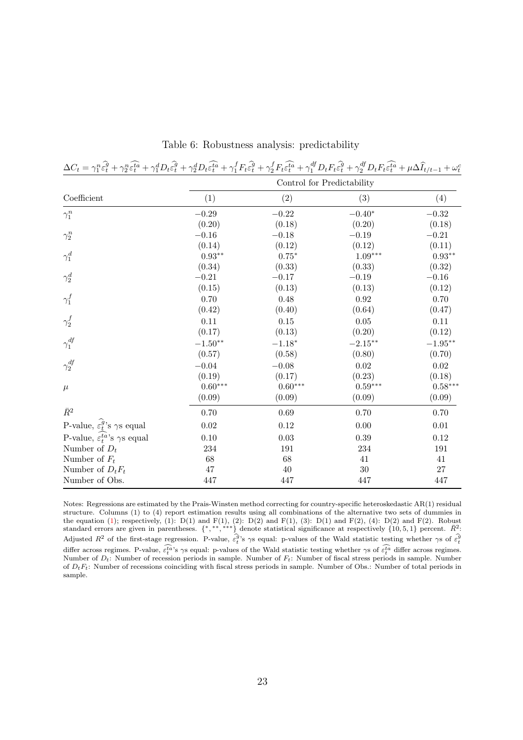| $\Delta C_t = \gamma_1^n \hat{\epsilon}_t^{\hat{q}} + \gamma_2^n \hat{\epsilon}_t^{\hat{t}\hat{a}} + \gamma_1^d D_t \hat{\epsilon}_t^{\hat{q}} + \gamma_2^d D_t \hat{\epsilon}_t^{\hat{t}\hat{a}} + \gamma_1^f F_t \hat{\epsilon}_t^{\hat{q}} + \gamma_2^f F_t \hat{\epsilon}_t^{\hat{t}\hat{a}} + \gamma_1^{df} D_t F_t \hat{\epsilon}_t^{\hat{q}} + \gamma_2^{df} D_t F_t \hat{\epsilon}_t^{\hat{t}\hat{a}} + \mu \Delta \hat{I}_{t/t-1} + \omega_t^c D_t F_t \hat{\epsilon}_t^$ |                            |                       |                       |            |  |  |
|------------------------------------------------------------------------------------------------------------------------------------------------------------------------------------------------------------------------------------------------------------------------------------------------------------------------------------------------------------------------------------------------------------------------------------------------------------------------------------|----------------------------|-----------------------|-----------------------|------------|--|--|
|                                                                                                                                                                                                                                                                                                                                                                                                                                                                                    | Control for Predictability |                       |                       |            |  |  |
| Coefficient                                                                                                                                                                                                                                                                                                                                                                                                                                                                        | (1)                        | (2)                   | (3)                   | (4)        |  |  |
| $\gamma_1^n$                                                                                                                                                                                                                                                                                                                                                                                                                                                                       | $-0.29$                    | $-0.22$               | $-0.40^{\ast}$        | $-0.32$    |  |  |
|                                                                                                                                                                                                                                                                                                                                                                                                                                                                                    | (0.20)                     | (0.18)                | (0.20)                | (0.18)     |  |  |
| $\gamma_2^n$                                                                                                                                                                                                                                                                                                                                                                                                                                                                       | $-0.16$                    | $-0.18$               | $-0.19$               | $-0.21$    |  |  |
|                                                                                                                                                                                                                                                                                                                                                                                                                                                                                    | (0.14)                     | (0.12)                | (0.12)                | (0.11)     |  |  |
| $\gamma^d_1$                                                                                                                                                                                                                                                                                                                                                                                                                                                                       | $0.93**$                   | $0.75*$               | $1.09***$             | $0.93**$   |  |  |
|                                                                                                                                                                                                                                                                                                                                                                                                                                                                                    | (0.34)                     | (0.33)                | (0.33)                | (0.32)     |  |  |
| $\gamma^d_2$                                                                                                                                                                                                                                                                                                                                                                                                                                                                       | $-0.21$                    | $-0.17$               | $-0.19$               | $-0.16$    |  |  |
|                                                                                                                                                                                                                                                                                                                                                                                                                                                                                    | (0.15)                     | (0.13)                | (0.13)                | (0.12)     |  |  |
| $\gamma_1^f$                                                                                                                                                                                                                                                                                                                                                                                                                                                                       | 0.70                       | 0.48                  | 0.92                  | 0.70       |  |  |
|                                                                                                                                                                                                                                                                                                                                                                                                                                                                                    | (0.42)                     | (0.40)                | (0.64)                | (0.47)     |  |  |
| $\gamma_2^f$                                                                                                                                                                                                                                                                                                                                                                                                                                                                       | 0.11                       | 0.15                  | 0.05                  | 0.11       |  |  |
|                                                                                                                                                                                                                                                                                                                                                                                                                                                                                    | (0.17)                     | (0.13)                | (0.20)                | (0.12)     |  |  |
| $\gamma_1^{df}$                                                                                                                                                                                                                                                                                                                                                                                                                                                                    | $-1.50**$                  | $-1.18^{\ast}$        | $-2.15***$            | $-1.95***$ |  |  |
|                                                                                                                                                                                                                                                                                                                                                                                                                                                                                    | (0.57)                     | (0.58)                | (0.80)                | (0.70)     |  |  |
| $\gamma_2^{df}$                                                                                                                                                                                                                                                                                                                                                                                                                                                                    | $-0.04$                    | $-0.08$               | 0.02                  | 0.02       |  |  |
|                                                                                                                                                                                                                                                                                                                                                                                                                                                                                    | (0.19)                     | (0.17)                | (0.23)                | (0.18)     |  |  |
| $\mu$                                                                                                                                                                                                                                                                                                                                                                                                                                                                              | $0.60***$                  | $0.60^{\ast\ast\ast}$ | $0.59^{\ast\ast\ast}$ | $0.58***$  |  |  |
|                                                                                                                                                                                                                                                                                                                                                                                                                                                                                    | (0.09)                     | (0.09)                | (0.09)                | (0.09)     |  |  |
| $\bar{R}^2$                                                                                                                                                                                                                                                                                                                                                                                                                                                                        | 0.70                       | $0.69\,$              | 0.70                  | 0.70       |  |  |
| P-value, $\widehat{\varepsilon_t^g}$ 's $\gamma$ s equal                                                                                                                                                                                                                                                                                                                                                                                                                           | $0.02\,$                   | 0.12                  | 0.00                  | $0.01\,$   |  |  |
| P-value, $\varepsilon_t^{ta}$ 's $\gamma s$ equal                                                                                                                                                                                                                                                                                                                                                                                                                                  | 0.10                       | 0.03                  | 0.39                  | 0.12       |  |  |
| Number of $D_t$                                                                                                                                                                                                                                                                                                                                                                                                                                                                    | 234                        | 191                   | 234                   | 191        |  |  |
| Number of $F_t$                                                                                                                                                                                                                                                                                                                                                                                                                                                                    | 68                         | 68                    | 41                    | 41         |  |  |
| Number of $D_t F_t$                                                                                                                                                                                                                                                                                                                                                                                                                                                                | $47\,$                     | $40\,$                | $30\,$                | $27\,$     |  |  |
| Number of Obs.                                                                                                                                                                                                                                                                                                                                                                                                                                                                     | 447                        | 447                   | 447                   | 447        |  |  |

Table 6: Robustness analysis: predictability

Notes: Regressions are estimated by the Prais-Winsten method correcting for country-specific heteroskedastic AR(1) residual structure. Columns (1) to (4) report estimation results using all combinations of the alternative two sets of dummies in the equation (1); respectively, (1):  $D(1)$  and  $F(1)$ , (2):  $D(2)$  and  $F(1)$ , (3):  $D(1)$  and  $F(2)$ , (4):  $D(2)$  and  $F(2)$ . Robust standard errors are given in parentheses.  $\{\ast, \ast, \ast, \ast\}$  denote statistical significance at respectively  $\{10, 5, 1\}$  percent.  $\overline{R}^2$ :<br>Adjusted  $R^2$  of the first-stage regression. P-value,  $\hat{\epsilon}_t^{\overline{q}}$ 's  $\gamma$ s differ across regimes. P-value,  $\widehat{\epsilon_t^{\alpha}}$ 's γs equal: p-values of the Wald statistic testing whether γs of  $\widehat{\epsilon_t^{\alpha}}$  differ across regimes. Number of  $D_t$ : Number of recession periods in sample. Number of  $F_t$ : Number of fiscal stress periods in sample. Number of  $D_tF_t$ : Number of recessions coinciding with fiscal stress periods in sample. Number of Obs.: Number of total periods in sample.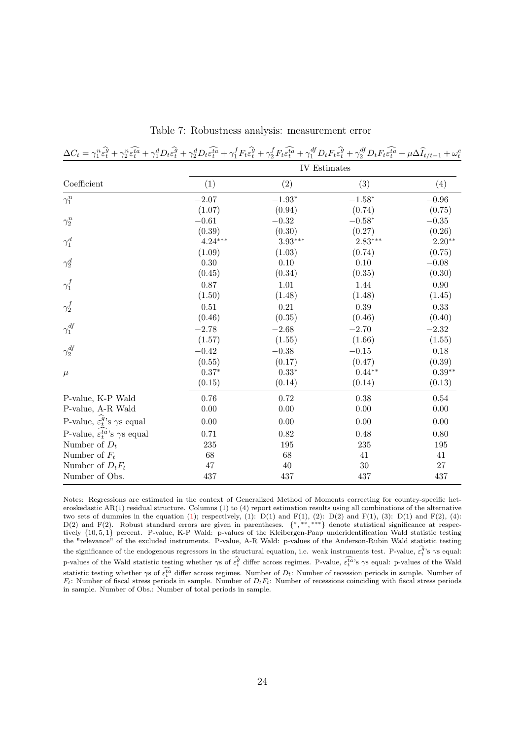| $\Delta C_t = \gamma_1^n \hat{\varepsilon}_t^{\widehat{g}} + \gamma_2^n \hat{\varepsilon}_t^{\widehat{t}a} + \gamma_1^d D_t \hat{\varepsilon}_t^{\widehat{g}} + \gamma_2^d D_t \hat{\varepsilon}_t^{\widehat{t}a} + \gamma_1^f F_t \hat{\varepsilon}_t^{\widehat{g}} + \gamma_2^f F_t \hat{\varepsilon}_t^{\widehat{t}a} + \gamma_1^{df} D_t F_t \hat{\varepsilon}_t^{\widehat{g}} + \gamma_2^{df} D_t F_t \hat{\varepsilon}_t^{\widehat{t}a} + \mu \Delta \widehat{I}_{t/t-1}$ |              |           |           |           |  |  |
|---------------------------------------------------------------------------------------------------------------------------------------------------------------------------------------------------------------------------------------------------------------------------------------------------------------------------------------------------------------------------------------------------------------------------------------------------------------------------------|--------------|-----------|-----------|-----------|--|--|
|                                                                                                                                                                                                                                                                                                                                                                                                                                                                                 | IV Estimates |           |           |           |  |  |
| Coefficient                                                                                                                                                                                                                                                                                                                                                                                                                                                                     | (1)          | (2)       | (3)       | (4)       |  |  |
| $\gamma_1^n$                                                                                                                                                                                                                                                                                                                                                                                                                                                                    | $-2.07$      | $-1.93*$  | $-1.58*$  | $-0.96$   |  |  |
|                                                                                                                                                                                                                                                                                                                                                                                                                                                                                 | (1.07)       | (0.94)    | (0.74)    | (0.75)    |  |  |
| $\gamma_2^n$                                                                                                                                                                                                                                                                                                                                                                                                                                                                    | $-0.61$      | $-0.32$   | $-0.58*$  | $-0.35\,$ |  |  |
|                                                                                                                                                                                                                                                                                                                                                                                                                                                                                 | (0.39)       | (0.30)    | (0.27)    | (0.26)    |  |  |
| $\gamma^d_1$                                                                                                                                                                                                                                                                                                                                                                                                                                                                    | $4.24***$    | $3.93***$ | $2.83***$ | $2.20**$  |  |  |
|                                                                                                                                                                                                                                                                                                                                                                                                                                                                                 | (1.09)       | (1.03)    | (0.74)    | (0.75)    |  |  |
| $\gamma^d_2$                                                                                                                                                                                                                                                                                                                                                                                                                                                                    | 0.30         | 0.10      | 0.10      | $-0.08$   |  |  |
|                                                                                                                                                                                                                                                                                                                                                                                                                                                                                 | (0.45)       | (0.34)    | (0.35)    | (0.30)    |  |  |
| $\gamma_1^f$                                                                                                                                                                                                                                                                                                                                                                                                                                                                    | 0.87         | 1.01      | 1.44      | 0.90      |  |  |
|                                                                                                                                                                                                                                                                                                                                                                                                                                                                                 | (1.50)       | (1.48)    | (1.48)    | (1.45)    |  |  |
| $\gamma_2^f$                                                                                                                                                                                                                                                                                                                                                                                                                                                                    | 0.51         | 0.21      | 0.39      | 0.33      |  |  |
|                                                                                                                                                                                                                                                                                                                                                                                                                                                                                 | (0.46)       | (0.35)    | (0.46)    | (0.40)    |  |  |
| $\gamma_1^{df}$                                                                                                                                                                                                                                                                                                                                                                                                                                                                 | $-2.78$      | $-2.68$   | $-2.70$   | $-2.32$   |  |  |
|                                                                                                                                                                                                                                                                                                                                                                                                                                                                                 | (1.57)       | (1.55)    | (1.66)    | (1.55)    |  |  |
| $\gamma_2^{df}$                                                                                                                                                                                                                                                                                                                                                                                                                                                                 | $-0.42$      | $-0.38$   | $-0.15$   | 0.18      |  |  |
|                                                                                                                                                                                                                                                                                                                                                                                                                                                                                 | (0.55)       | (0.17)    | (0.47)    | (0.39)    |  |  |
| $\mu$                                                                                                                                                                                                                                                                                                                                                                                                                                                                           | $0.37*$      | $0.33*$   | $0.44**$  | $0.39**$  |  |  |
|                                                                                                                                                                                                                                                                                                                                                                                                                                                                                 | (0.15)       | (0.14)    | (0.14)    | (0.13)    |  |  |
| P-value, K-P Wald                                                                                                                                                                                                                                                                                                                                                                                                                                                               | 0.76         | 0.72      | 0.38      | 0.54      |  |  |
| P-value, A-R Wald                                                                                                                                                                                                                                                                                                                                                                                                                                                               | 0.00         | 0.00      | 0.00      | 0.00      |  |  |
| P-value, $\widehat{\varepsilon_t^g}$ 's $\gamma$ s equal                                                                                                                                                                                                                                                                                                                                                                                                                        | 0.00         | 0.00      | 0.00      | 0.00      |  |  |
| P-value, $\varepsilon_t^{ta}$ 's $\gamma s$ equal                                                                                                                                                                                                                                                                                                                                                                                                                               | 0.71         | 0.82      | 0.48      | 0.80      |  |  |
| Number of $D_t$                                                                                                                                                                                                                                                                                                                                                                                                                                                                 | 235          | 195       | 235       | 195       |  |  |
| Number of $F_t$                                                                                                                                                                                                                                                                                                                                                                                                                                                                 | 68           | 68        | 41        | 41        |  |  |
| Number of $D_t F_t$                                                                                                                                                                                                                                                                                                                                                                                                                                                             | 47           | 40        | $30\,$    | 27        |  |  |
| Number of Obs.                                                                                                                                                                                                                                                                                                                                                                                                                                                                  | 437          | 437       | 437       | 437       |  |  |

Table 7: Robustness analysis: measurement error

Notes: Regressions are estimated in the context of Generalized Method of Moments correcting for country-specific heteroskedastic AR(1) residual structure. Columns (1) to (4) report estimation results using all combinations of the alternative two sets of dummies in the equation (1); respectively, (1):  $D(1)$  and  $F(1)$ , (2):  $D(2)$  and  $F(1)$ , (3):  $D(1)$  and  $F(2)$ , (4): D(2) and F(2). Robust standard errors are given in parentheses.  $\{*, ***, ***\}$  denote statistical significance at respectively {10, 5, 1} percent. P-value, K-P Wald: p-values of the Kleibergen-Paap underidentification Wald statistic testing the "relevance" of the excluded instruments. P-value, A-R Wald: p-values of the Anderson-Rubin Wald statistic testing the significance of the endogenous regressors in the structural equation, i.e. weak instruments test. P-value,  $\hat{\epsilon}_t^{\hat{g}}$ 's  $\gamma$ s equal: p-values of the Wald statistic testing whether  $\gamma s$  of  $\hat{\epsilon}_t^{\hat{g}}$  differ across regimes. P-value,  $\hat{\epsilon}_t^{\hat{a}}$ 's  $\gamma s$  equal: p-values of the Wald statistic testing whether  $\gamma s$  of  $\widehat{\epsilon_t^{\hat{t}a}}$  differ across regimes. Number of  $D_t$ : Number of recession periods in sample. Number of  $F_t$ : Number of fiscal stress periods in sample. Number of  $D_tF_t$ : Number of recessions coinciding with fiscal stress periods in sample. Number of Obs.: Number of total periods in sample.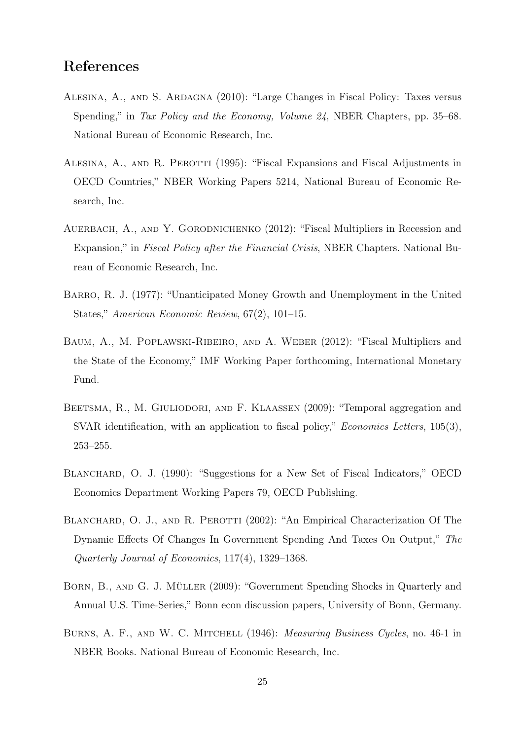# References

- Alesina, A., and S. Ardagna (2010): "Large Changes in Fiscal Policy: Taxes versus Spending," in Tax Policy and the Economy, Volume 24, NBER Chapters, pp. 35–68. National Bureau of Economic Research, Inc.
- ALESINA, A., AND R. PEROTTI (1995): "Fiscal Expansions and Fiscal Adjustments in OECD Countries," NBER Working Papers 5214, National Bureau of Economic Research, Inc.
- AUERBACH, A., AND Y. GORODNICHENKO (2012): "Fiscal Multipliers in Recession and Expansion," in Fiscal Policy after the Financial Crisis, NBER Chapters. National Bureau of Economic Research, Inc.
- Barro, R. J. (1977): "Unanticipated Money Growth and Unemployment in the United States," American Economic Review, 67(2), 101–15.
- Baum, A., M. Poplawski-Ribeiro, and A. Weber (2012): "Fiscal Multipliers and the State of the Economy," IMF Working Paper forthcoming, International Monetary Fund.
- BEETSMA, R., M. GIULIODORI, AND F. KLAASSEN (2009): "Temporal aggregation and SVAR identification, with an application to fiscal policy," *Economics Letters*, 105(3), 253–255.
- BLANCHARD, O. J. (1990): "Suggestions for a New Set of Fiscal Indicators," OECD Economics Department Working Papers 79, OECD Publishing.
- BLANCHARD, O. J., AND R. PEROTTI (2002): "An Empirical Characterization Of The Dynamic Effects Of Changes In Government Spending And Taxes On Output," The Quarterly Journal of Economics, 117(4), 1329–1368.
- Born, B., and G. J. Müller (2009): "Government Spending Shocks in Quarterly and Annual U.S. Time-Series," Bonn econ discussion papers, University of Bonn, Germany.
- BURNS, A. F., AND W. C. MITCHELL (1946): *Measuring Business Cycles*, no. 46-1 in NBER Books. National Bureau of Economic Research, Inc.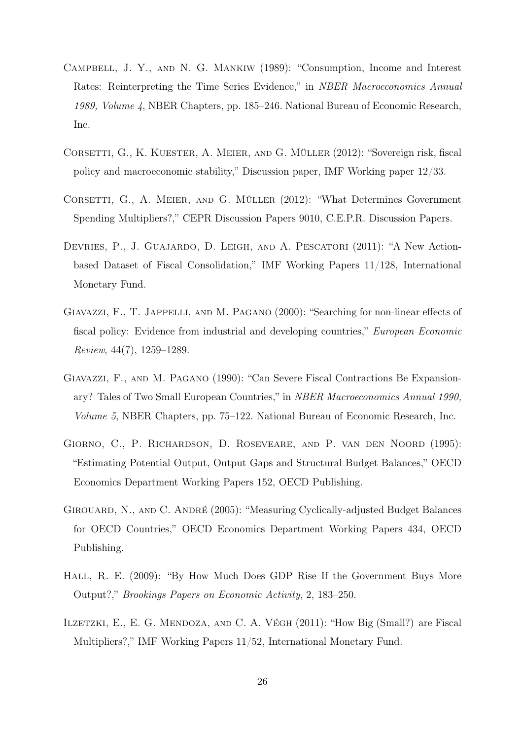- Campbell, J. Y., and N. G. Mankiw (1989): "Consumption, Income and Interest Rates: Reinterpreting the Time Series Evidence," in NBER Macroeconomics Annual 1989, Volume 4, NBER Chapters, pp. 185–246. National Bureau of Economic Research, Inc.
- CORSETTI, G., K. KUESTER, A. MEIER, AND G. MÜLLER (2012): "Sovereign risk, fiscal policy and macroeconomic stability," Discussion paper, IMF Working paper 12/33.
- CORSETTI, G., A. MEIER, AND G. MÜLLER (2012): "What Determines Government Spending Multipliers?," CEPR Discussion Papers 9010, C.E.P.R. Discussion Papers.
- Devries, P., J. Guajardo, D. Leigh, and A. Pescatori (2011): "A New Actionbased Dataset of Fiscal Consolidation," IMF Working Papers 11/128, International Monetary Fund.
- Giavazzi, F., T. Jappelli, and M. Pagano (2000): "Searching for non-linear effects of fiscal policy: Evidence from industrial and developing countries," European Economic Review, 44(7), 1259–1289.
- Giavazzi, F., and M. Pagano (1990): "Can Severe Fiscal Contractions Be Expansionary? Tales of Two Small European Countries," in NBER Macroeconomics Annual 1990, Volume 5, NBER Chapters, pp. 75–122. National Bureau of Economic Research, Inc.
- Giorno, C., P. Richardson, D. Roseveare, and P. van den Noord (1995): "Estimating Potential Output, Output Gaps and Structural Budget Balances," OECD Economics Department Working Papers 152, OECD Publishing.
- GIROUARD, N., AND C. ANDRÉ (2005): "Measuring Cyclically-adjusted Budget Balances for OECD Countries," OECD Economics Department Working Papers 434, OECD Publishing.
- HALL, R. E. (2009): "By How Much Does GDP Rise If the Government Buys More Output?," Brookings Papers on Economic Activity, 2, 183–250.
- ILZETZKI, E., E. G. MENDOZA, AND C. A. VÉGH (2011): "How Big (Small?) are Fiscal Multipliers?," IMF Working Papers 11/52, International Monetary Fund.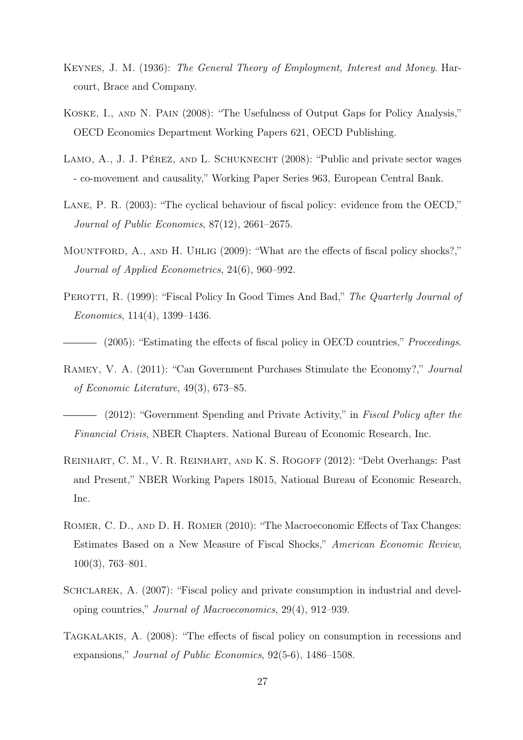- Keynes, J. M. (1936): The General Theory of Employment, Interest and Money. Harcourt, Brace and Company.
- Koske, I., and N. Pain (2008): "The Usefulness of Output Gaps for Policy Analysis," OECD Economics Department Working Papers 621, OECD Publishing.
- LAMO, A., J. J. PÉREZ, AND L. SCHUKNECHT (2008): "Public and private sector wages - co-movement and causality," Working Paper Series 963, European Central Bank.
- LANE, P. R.  $(2003)$ : "The cyclical behaviour of fiscal policy: evidence from the OECD," Journal of Public Economics, 87(12), 2661–2675.
- MOUNTFORD, A., AND H. UHLIG (2009): "What are the effects of fiscal policy shocks?," Journal of Applied Econometrics, 24(6), 960–992.
- PEROTTI, R. (1999): "Fiscal Policy In Good Times And Bad," The Quarterly Journal of Economics, 114(4), 1399–1436.
- (2005): "Estimating the effects of fiscal policy in OECD countries," *Proceedings*.
- Ramey, V. A. (2011): "Can Government Purchases Stimulate the Economy?," Journal of Economic Literature, 49(3), 673–85.
- (2012): "Government Spending and Private Activity," in Fiscal Policy after the Financial Crisis, NBER Chapters. National Bureau of Economic Research, Inc.
- Reinhart, C. M., V. R. Reinhart, and K. S. Rogoff (2012): "Debt Overhangs: Past and Present," NBER Working Papers 18015, National Bureau of Economic Research, Inc.
- ROMER, C. D., AND D. H. ROMER (2010): "The Macroeconomic Effects of Tax Changes: Estimates Based on a New Measure of Fiscal Shocks," American Economic Review, 100(3), 763–801.
- SCHCLAREK, A. (2007): "Fiscal policy and private consumption in industrial and developing countries," Journal of Macroeconomics, 29(4), 912–939.
- Tagkalakis, A. (2008): "The effects of fiscal policy on consumption in recessions and expansions," Journal of Public Economics, 92(5-6), 1486–1508.